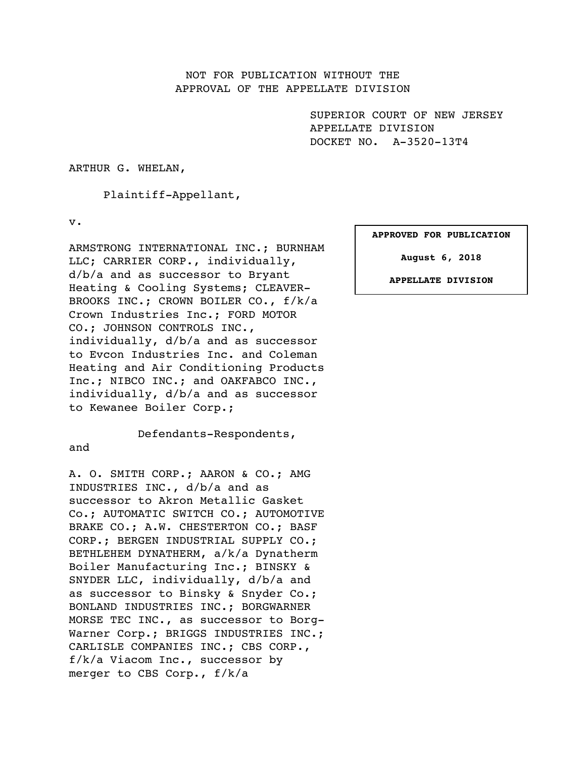## NOT FOR PUBLICATION WITHOUT THE APPROVAL OF THE APPELLATE DIVISION

SUPERIOR COURT OF NEW JERSEY APPELLATE DIVISION DOCKET NO. A-3520-13T4

ARTHUR G. WHELAN,

Plaintiff-Appellant,

v.

ARMSTRONG INTERNATIONAL INC.; BURNHAM LLC; CARRIER CORP., individually, d/b/a and as successor to Bryant Heating & Cooling Systems; CLEAVER-BROOKS INC.; CROWN BOILER CO., f/k/a Crown Industries Inc.; FORD MOTOR CO.; JOHNSON CONTROLS INC., individually, d/b/a and as successor to Evcon Industries Inc. and Coleman Heating and Air Conditioning Products Inc.; NIBCO INC.; and OAKFABCO INC., individually, d/b/a and as successor to Kewanee Boiler Corp.;

Defendants-Respondents,

# and

A. O. SMITH CORP.; AARON & CO.; AMG INDUSTRIES INC., d/b/a and as successor to Akron Metallic Gasket Co.; AUTOMATIC SWITCH CO.; AUTOMOTIVE BRAKE CO.; A.W. CHESTERTON CO.; BASF CORP.; BERGEN INDUSTRIAL SUPPLY CO.; BETHLEHEM DYNATHERM, a/k/a Dynatherm Boiler Manufacturing Inc.; BINSKY & SNYDER LLC, individually, d/b/a and as successor to Binsky & Snyder Co.; BONLAND INDUSTRIES INC.; BORGWARNER MORSE TEC INC., as successor to Borg-Warner Corp.; BRIGGS INDUSTRIES INC.; CARLISLE COMPANIES INC.; CBS CORP., f/k/a Viacom Inc., successor by merger to CBS Corp., f/k/a

#### **APPROVED FOR PUBLICATION**

**August 6, 2018**

**APPELLATE DIVISION**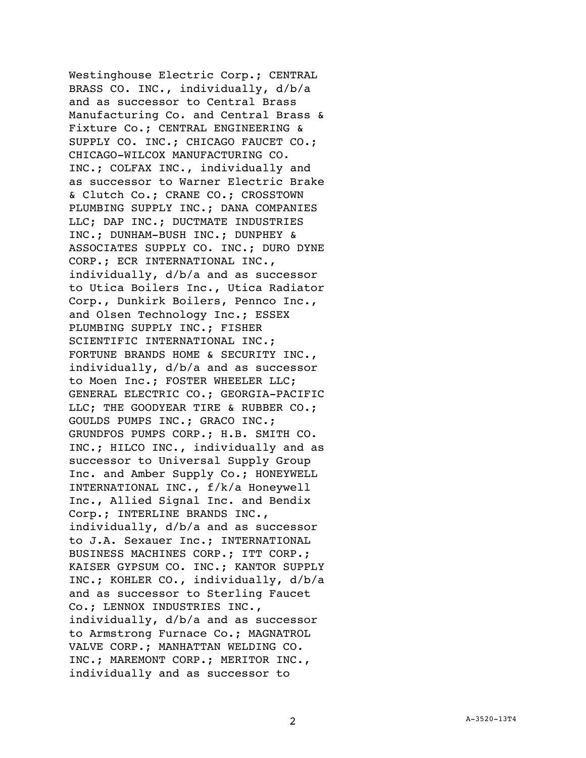Westinghouse Electric Corp.; CENTRAL BRASS CO. INC., individually, d/b/a and as successor to Central Brass Manufacturing Co. and Central Brass & Fixture Co.; CENTRAL ENGINEERING & SUPPLY CO. INC.; CHICAGO FAUCET CO.; CHICAGO-WILCOX MANUFACTURING CO. INC.; COLFAX INC., individually and as successor to Warner Electric Brake & Clutch Co.; CRANE CO.; CROSSTOWN PLUMBING SUPPLY INC.; DANA COMPANIES LLC; DAP INC.; DUCTMATE INDUSTRIES INC.; DUNHAM-BUSH INC.; DUNPHEY & ASSOCIATES SUPPLY CO. INC.; DURO DYNE CORP.; ECR INTERNATIONAL INC., individually, d/b/a and as successor to Utica Boilers Inc., Utica Radiator Corp., Dunkirk Boilers, Pennco Inc., and Olsen Technology Inc.; ESSEX PLUMBING SUPPLY INC.; FISHER SCIENTIFIC INTERNATIONAL INC.; FORTUNE BRANDS HOME & SECURITY INC., individually, d/b/a and as successor to Moen Inc.; FOSTER WHEELER LLC; GENERAL ELECTRIC CO.; GEORGIA-PACIFIC LLC; THE GOODYEAR TIRE & RUBBER CO.; GOULDS PUMPS INC.; GRACO INC.; GRUNDFOS PUMPS CORP.; H.B. SMITH CO. INC.; HILCO INC., individually and as successor to Universal Supply Group Inc. and Amber Supply Co.; HONEYWELL INTERNATIONAL INC., f/k/a Honeywell Inc., Allied Signal Inc. and Bendix Corp.; INTERLINE BRANDS INC., individually, d/b/a and as successor to J.A. Sexauer Inc.; INTERNATIONAL BUSINESS MACHINES CORP.; ITT CORP.; KAISER GYPSUM CO. INC.; KANTOR SUPPLY INC.; KOHLER CO., individually, d/b/a and as successor to Sterling Faucet Co.; LENNOX INDUSTRIES INC., individually, d/b/a and as successor to Armstrong Furnace Co.; MAGNATROL VALVE CORP.; MANHATTAN WELDING CO. INC.; MAREMONT CORP.; MERITOR INC., individually and as successor to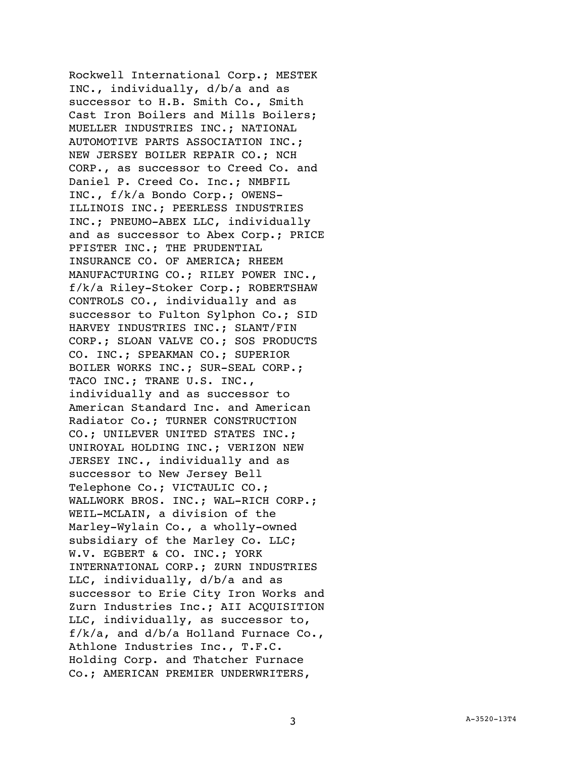Rockwell International Corp.; MESTEK INC., individually, d/b/a and as successor to H.B. Smith Co., Smith Cast Iron Boilers and Mills Boilers; MUELLER INDUSTRIES INC.; NATIONAL AUTOMOTIVE PARTS ASSOCIATION INC.; NEW JERSEY BOILER REPAIR CO.; NCH CORP., as successor to Creed Co. and Daniel P. Creed Co. Inc.; NMBFIL INC., f/k/a Bondo Corp.; OWENS-ILLINOIS INC.; PEERLESS INDUSTRIES INC.; PNEUMO-ABEX LLC, individually and as successor to Abex Corp.; PRICE PFISTER INC.; THE PRUDENTIAL INSURANCE CO. OF AMERICA; RHEEM MANUFACTURING CO.; RILEY POWER INC., f/k/a Riley-Stoker Corp.; ROBERTSHAW CONTROLS CO., individually and as successor to Fulton Sylphon Co.; SID HARVEY INDUSTRIES INC.; SLANT/FIN CORP.; SLOAN VALVE CO.; SOS PRODUCTS CO. INC.; SPEAKMAN CO.; SUPERIOR BOILER WORKS INC.; SUR-SEAL CORP.; TACO INC.; TRANE U.S. INC., individually and as successor to American Standard Inc. and American Radiator Co.; TURNER CONSTRUCTION CO.; UNILEVER UNITED STATES INC.; UNIROYAL HOLDING INC.; VERIZON NEW JERSEY INC., individually and as successor to New Jersey Bell Telephone Co.; VICTAULIC CO.; WALLWORK BROS. INC.; WAL-RICH CORP.; WEIL-MCLAIN, a division of the Marley-Wylain Co., a wholly-owned subsidiary of the Marley Co. LLC; W.V. EGBERT & CO. INC.; YORK INTERNATIONAL CORP.; ZURN INDUSTRIES LLC, individually, d/b/a and as successor to Erie City Iron Works and Zurn Industries Inc.; AII ACQUISITION LLC, individually, as successor to,  $f/k/a$ , and  $d/b/a$  Holland Furnace Co., Athlone Industries Inc., T.F.C. Holding Corp. and Thatcher Furnace Co.; AMERICAN PREMIER UNDERWRITERS,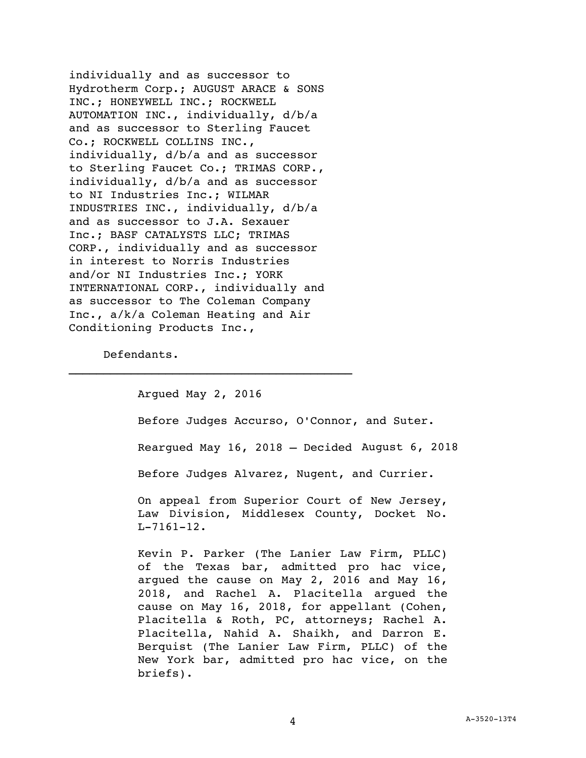individually and as successor to Hydrotherm Corp.; AUGUST ARACE & SONS INC.; HONEYWELL INC.; ROCKWELL AUTOMATION INC., individually, d/b/a and as successor to Sterling Faucet Co.; ROCKWELL COLLINS INC., individually, d/b/a and as successor to Sterling Faucet Co.; TRIMAS CORP., individually, d/b/a and as successor to NI Industries Inc.; WILMAR INDUSTRIES INC., individually, d/b/a and as successor to J.A. Sexauer Inc.; BASF CATALYSTS LLC; TRIMAS CORP., individually and as successor in interest to Norris Industries and/or NI Industries Inc.; YORK INTERNATIONAL CORP., individually and as successor to The Coleman Company Inc., a/k/a Coleman Heating and Air Conditioning Products Inc.,

Defendants.

Argued May 2, 2016 Before Judges Accurso, O'Connor, and Suter. Reargued May 16, 2018 – Decided August 6, 2018Before Judges Alvarez, Nugent, and Currier. On appeal from Superior Court of New Jersey, Law Division, Middlesex County, Docket No. L-7161-12. Kevin P. Parker (The Lanier Law Firm, PLLC) of the Texas bar, admitted pro hac vice, argued the cause on May 2, 2016 and May 16, 2018, and Rachel A. Placitella argued the cause on May 16, 2018, for appellant (Cohen, Placitella & Roth, PC, attorneys; Rachel A. Placitella, Nahid A. Shaikh, and Darron E. Berquist (The Lanier Law Firm, PLLC) of the New York bar, admitted pro hac vice, on the briefs).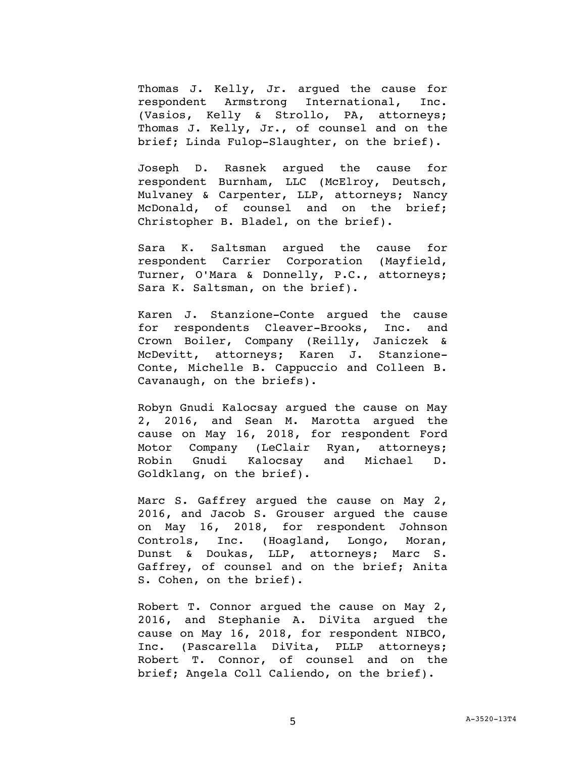Thomas J. Kelly, Jr. argued the cause for respondent Armstrong International, Inc. (Vasios, Kelly & Strollo, PA, attorneys; Thomas J. Kelly, Jr., of counsel and on the brief; Linda Fulop-Slaughter, on the brief).

Joseph D. Rasnek argued the cause for respondent Burnham, LLC (McElroy, Deutsch, Mulvaney & Carpenter, LLP, attorneys; Nancy McDonald, of counsel and on the brief; Christopher B. Bladel, on the brief).

Sara K. Saltsman argued the cause for respondent Carrier Corporation (Mayfield, Turner, O'Mara & Donnelly, P.C., attorneys; Sara K. Saltsman, on the brief).

Karen J. Stanzione-Conte argued the cause for respondents Cleaver-Brooks, Inc. and Crown Boiler, Company (Reilly, Janiczek & McDevitt, attorneys; Karen J. Stanzione-Conte, Michelle B. Cappuccio and Colleen B. Cavanaugh, on the briefs).

Robyn Gnudi Kalocsay argued the cause on May 2, 2016, and Sean M. Marotta argued the cause on May 16, 2018, for respondent Ford Motor Company (LeClair Ryan, attorneys; Robin Gnudi Kalocsay and Michael D. Goldklang, on the brief).

Marc S. Gaffrey argued the cause on May 2, 2016, and Jacob S. Grouser argued the cause on May 16, 2018, for respondent Johnson Controls, Inc. (Hoagland, Longo, Moran, Dunst & Doukas, LLP, attorneys; Marc S. Gaffrey, of counsel and on the brief; Anita S. Cohen, on the brief).

Robert T. Connor argued the cause on May 2, 2016, and Stephanie A. DiVita argued the cause on May 16, 2018, for respondent NIBCO, Inc. (Pascarella DiVita, PLLP attorneys; Robert T. Connor, of counsel and on the brief; Angela Coll Caliendo, on the brief).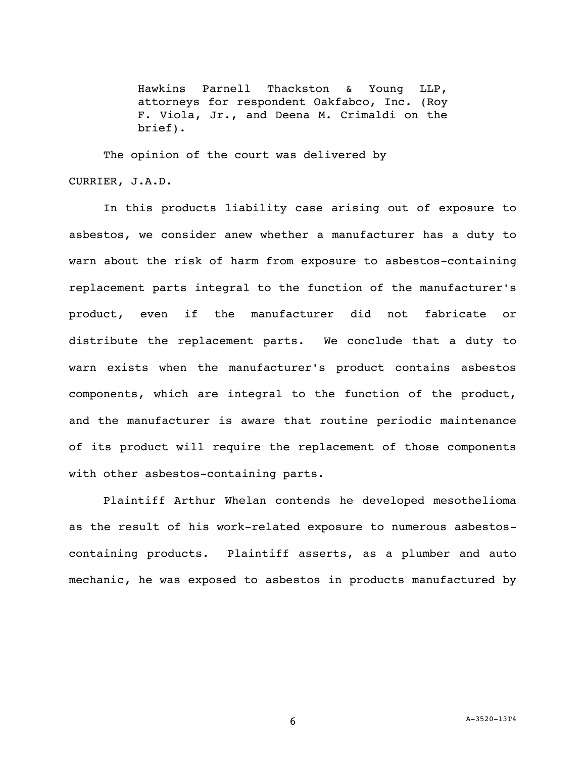Hawkins Parnell Thackston & Young LLP, attorneys for respondent Oakfabco, Inc. (Roy F. Viola, Jr., and Deena M. Crimaldi on the brief).

The opinion of the court was delivered by CURRIER, J.A.D.

In this products liability case arising out of exposure to asbestos, we consider anew whether a manufacturer has a duty to warn about the risk of harm from exposure to asbestos-containing replacement parts integral to the function of the manufacturer's product, even if the manufacturer did not fabricate or distribute the replacement parts. We conclude that a duty to warn exists when the manufacturer's product contains asbestos components, which are integral to the function of the product, and the manufacturer is aware that routine periodic maintenance of its product will require the replacement of those components with other asbestos-containing parts.

Plaintiff Arthur Whelan contends he developed mesothelioma as the result of his work-related exposure to numerous asbestoscontaining products. Plaintiff asserts, as a plumber and auto mechanic, he was exposed to asbestos in products manufactured by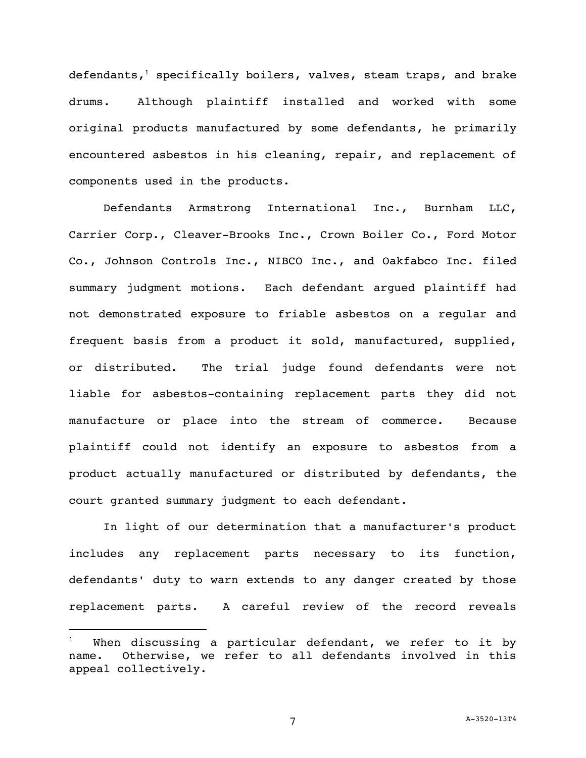defendants,<sup>1</sup> specifically boilers, valves, steam traps, and brake drums. Although plaintiff installed and worked with some original products manufactured by some defendants, he primarily encountered asbestos in his cleaning, repair, and replacement of components used in the products.

Defendants Armstrong International Inc., Burnham LLC, Carrier Corp., Cleaver-Brooks Inc., Crown Boiler Co., Ford Motor Co., Johnson Controls Inc., NIBCO Inc., and Oakfabco Inc. filed summary judgment motions. Each defendant argued plaintiff had not demonstrated exposure to friable asbestos on a regular and frequent basis from a product it sold, manufactured, supplied, or distributed. The trial judge found defendants were not liable for asbestos-containing replacement parts they did not manufacture or place into the stream of commerce. Because plaintiff could not identify an exposure to asbestos from a product actually manufactured or distributed by defendants, the court granted summary judgment to each defendant.

In light of our determination that a manufacturer's product includes any replacement parts necessary to its function, defendants' duty to warn extends to any danger created by those replacement parts. A careful review of the record reveals

When discussing a particular defendant, we refer to it by name. Otherwise, we refer to all defendants involved in this appeal collectively.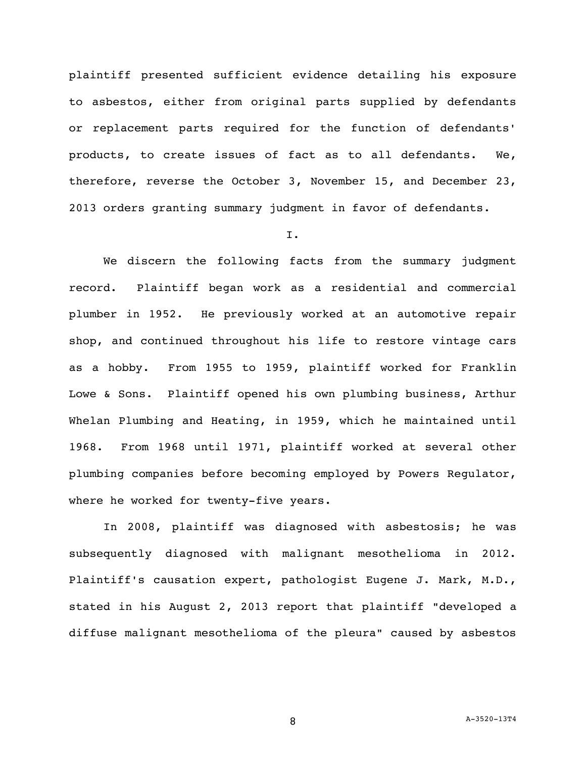plaintiff presented sufficient evidence detailing his exposure to asbestos, either from original parts supplied by defendants or replacement parts required for the function of defendants' products, to create issues of fact as to all defendants. We, therefore, reverse the October 3, November 15, and December 23, 2013 orders granting summary judgment in favor of defendants.

### I.

We discern the following facts from the summary judgment record. Plaintiff began work as a residential and commercial plumber in 1952. He previously worked at an automotive repair shop, and continued throughout his life to restore vintage cars as a hobby. From 1955 to 1959, plaintiff worked for Franklin Lowe & Sons. Plaintiff opened his own plumbing business, Arthur Whelan Plumbing and Heating, in 1959, which he maintained until 1968. From 1968 until 1971, plaintiff worked at several other plumbing companies before becoming employed by Powers Regulator, where he worked for twenty-five years.

In 2008, plaintiff was diagnosed with asbestosis; he was subsequently diagnosed with malignant mesothelioma in 2012. Plaintiff's causation expert, pathologist Eugene J. Mark, M.D., stated in his August 2, 2013 report that plaintiff "developed a diffuse malignant mesothelioma of the pleura" caused by asbestos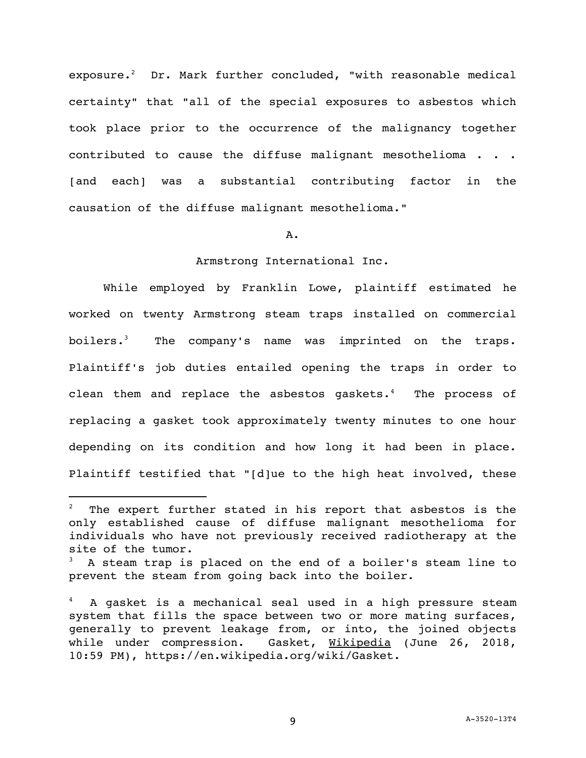exposure.<sup>2</sup> Dr. Mark further concluded, "with reasonable medical certainty" that "all of the special exposures to asbestos which took place prior to the occurrence of the malignancy together contributed to cause the diffuse malignant mesothelioma . . . [and each] was a substantial contributing factor in the causation of the diffuse malignant mesothelioma."

#### A.

## Armstrong International Inc.

While employed by Franklin Lowe, plaintiff estimated he worked on twenty Armstrong steam traps installed on commercial boilers.<sup>3</sup> The company's name was imprinted on the traps. Plaintiff's job duties entailed opening the traps in order to clean them and replace the asbestos gaskets. $4$  The process of replacing a gasket took approximately twenty minutes to one hour depending on its condition and how long it had been in place. Plaintiff testified that "[d]ue to the high heat involved, these

The expert further stated in his report that asbestos is the only established cause of diffuse malignant mesothelioma for individuals who have not previously received radiotherapy at the site of the tumor.

A steam trap is placed on the end of a boiler's steam line to prevent the steam from going back into the boiler.

<sup>4</sup> A gasket is a mechanical seal used in a high pressure steam system that fills the space between two or more mating surfaces, generally to prevent leakage from, or into, the joined objects while under compression. Gasket, Wikipedia (June 26, 2018, 10:59 PM), https://en.wikipedia.org/wiki/Gasket.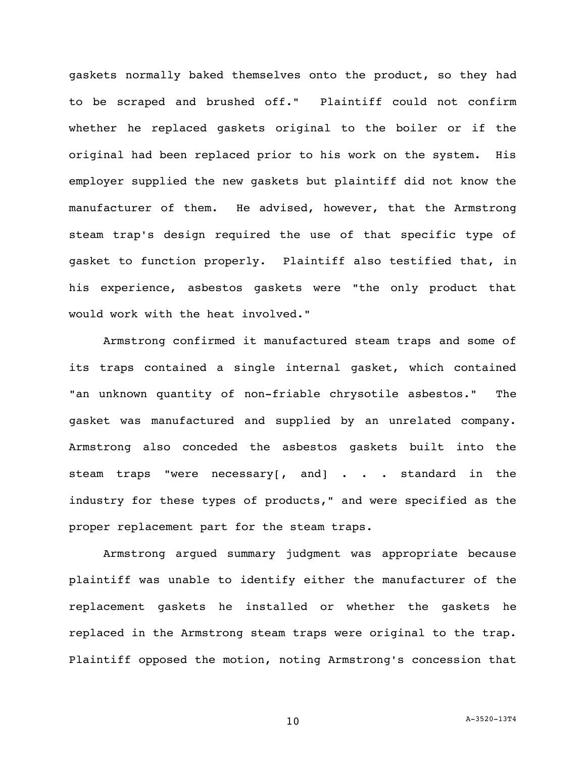gaskets normally baked themselves onto the product, so they had to be scraped and brushed off." Plaintiff could not confirm whether he replaced gaskets original to the boiler or if the original had been replaced prior to his work on the system. His employer supplied the new gaskets but plaintiff did not know the manufacturer of them. He advised, however, that the Armstrong steam trap's design required the use of that specific type of gasket to function properly. Plaintiff also testified that, in his experience, asbestos gaskets were "the only product that would work with the heat involved."

Armstrong confirmed it manufactured steam traps and some of its traps contained a single internal gasket, which contained "an unknown quantity of non-friable chrysotile asbestos." The gasket was manufactured and supplied by an unrelated company. Armstrong also conceded the asbestos gaskets built into the steam traps "were necessary[, and] . . . standard in the industry for these types of products," and were specified as the proper replacement part for the steam traps.

Armstrong argued summary judgment was appropriate because plaintiff was unable to identify either the manufacturer of the replacement gaskets he installed or whether the gaskets he replaced in the Armstrong steam traps were original to the trap. Plaintiff opposed the motion, noting Armstrong's concession that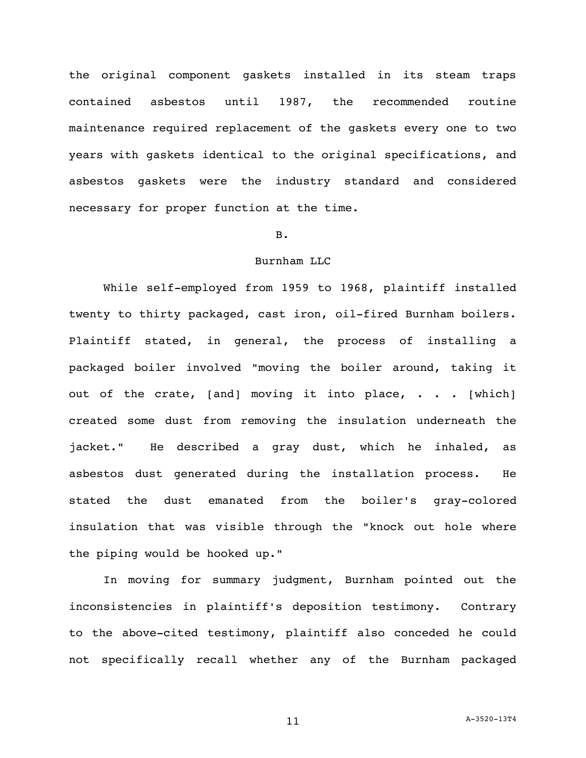the original component gaskets installed in its steam traps contained asbestos until 1987, the recommended routine maintenance required replacement of the gaskets every one to two years with gaskets identical to the original specifications, and asbestos gaskets were the industry standard and considered necessary for proper function at the time.

#### B.

## Burnham LLC

While self-employed from 1959 to 1968, plaintiff installed twenty to thirty packaged, cast iron, oil-fired Burnham boilers. Plaintiff stated, in general, the process of installing a packaged boiler involved "moving the boiler around, taking it out of the crate, [and] moving it into place, . . . [which] created some dust from removing the insulation underneath the jacket." He described a gray dust, which he inhaled, as asbestos dust generated during the installation process. He stated the dust emanated from the boiler's gray-colored insulation that was visible through the "knock out hole where the piping would be hooked up."

In moving for summary judgment, Burnham pointed out the inconsistencies in plaintiff's deposition testimony. Contrary to the above-cited testimony, plaintiff also conceded he could not specifically recall whether any of the Burnham packaged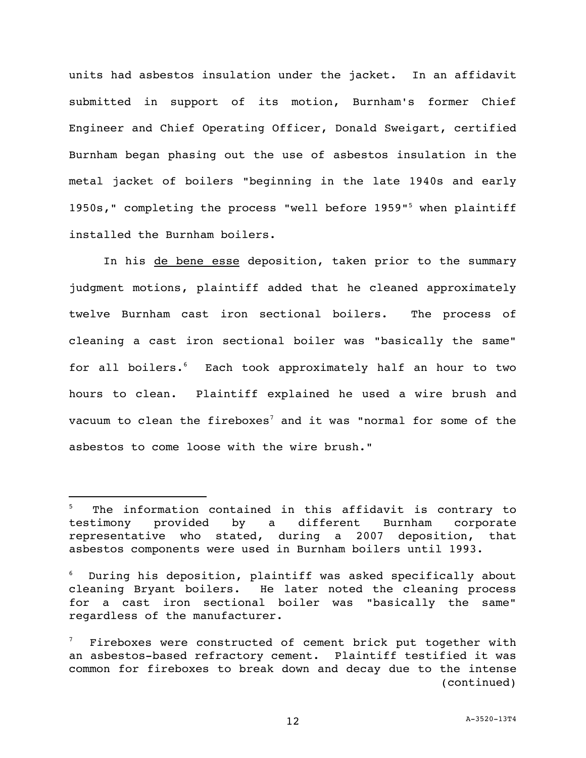units had asbestos insulation under the jacket. In an affidavit submitted in support of its motion, Burnham's former Chief Engineer and Chief Operating Officer, Donald Sweigart, certified Burnham began phasing out the use of asbestos insulation in the metal jacket of boilers "beginning in the late 1940s and early 1950s," completing the process "well before 1959"<sup>5</sup> when plaintiff installed the Burnham boilers.

In his de bene esse deposition, taken prior to the summary judgment motions, plaintiff added that he cleaned approximately twelve Burnham cast iron sectional boilers. The process of cleaning a cast iron sectional boiler was "basically the same" for all boilers.<sup>6</sup> Each took approximately half an hour to two hours to clean. Plaintiff explained he used a wire brush and vacuum to clean the fireboxes<sup>7</sup> and it was "normal for some of the asbestos to come loose with the wire brush."

The information contained in this affidavit is contrary to testimony provided by a different Burnham corporate representative who stated, during a 2007 deposition, that asbestos components were used in Burnham boilers until 1993.

During his deposition, plaintiff was asked specifically about cleaning Bryant boilers. He later noted the cleaning process for a cast iron sectional boiler was "basically the same" regardless of the manufacturer.

Fireboxes were constructed of cement brick put together with an asbestos-based refractory cement. Plaintiff testified it was common for fireboxes to break down and decay due to the intense (continued)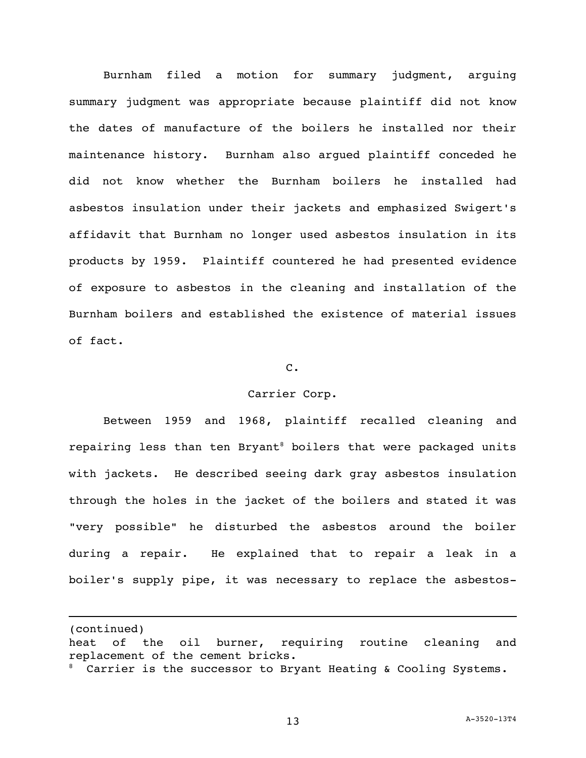Burnham filed a motion for summary judgment, arguing summary judgment was appropriate because plaintiff did not know the dates of manufacture of the boilers he installed nor their maintenance history. Burnham also argued plaintiff conceded he did not know whether the Burnham boilers he installed had asbestos insulation under their jackets and emphasized Swigert's affidavit that Burnham no longer used asbestos insulation in its products by 1959. Plaintiff countered he had presented evidence of exposure to asbestos in the cleaning and installation of the Burnham boilers and established the existence of material issues of fact.

### C.

### Carrier Corp.

Between 1959 and 1968, plaintiff recalled cleaning and repairing less than ten Bryant<sup>8</sup> boilers that were packaged units with jackets. He described seeing dark gray asbestos insulation through the holes in the jacket of the boilers and stated it was "very possible" he disturbed the asbestos around the boiler during a repair. He explained that to repair a leak in a boiler's supply pipe, it was necessary to replace the asbestos-

(continued)

heat of the oil burner, requiring routine cleaning and replacement of the cement bricks.

<sup>&</sup>lt;sup>8</sup> Carrier is the successor to Bryant Heating & Cooling Systems.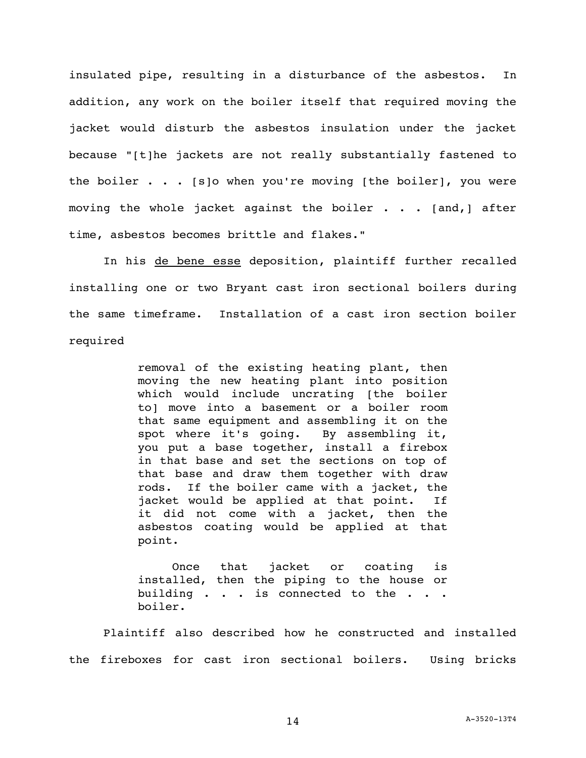insulated pipe, resulting in a disturbance of the asbestos. In addition, any work on the boiler itself that required moving the jacket would disturb the asbestos insulation under the jacket because "[t]he jackets are not really substantially fastened to the boiler  $\cdots$  . [s]o when you're moving [the boiler], you were moving the whole jacket against the boiler . . . [and,] after time, asbestos becomes brittle and flakes."

In his de bene esse deposition, plaintiff further recalled installing one or two Bryant cast iron sectional boilers during the same timeframe. Installation of a cast iron section boiler required

> removal of the existing heating plant, then moving the new heating plant into position which would include uncrating [the boiler to] move into a basement or a boiler room that same equipment and assembling it on the spot where it's going. By assembling it, you put a base together, install a firebox in that base and set the sections on top of that base and draw them together with draw rods. If the boiler came with a jacket, the jacket would be applied at that point. If it did not come with a jacket, then the asbestos coating would be applied at that point.

> Once that jacket or coating is installed, then the piping to the house or building . . . is connected to the . . . boiler.

Plaintiff also described how he constructed and installed the fireboxes for cast iron sectional boilers. Using bricks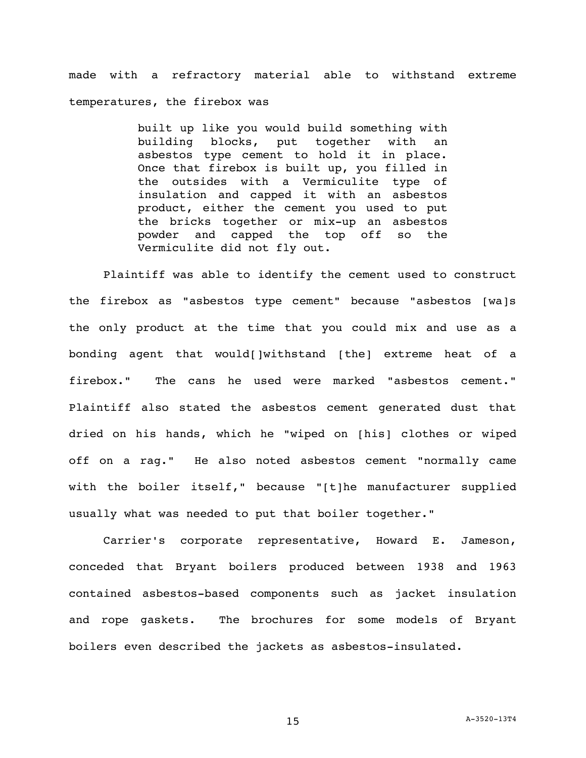made with a refractory material able to withstand extreme temperatures, the firebox was

> built up like you would build something with building blocks, put together with an asbestos type cement to hold it in place. Once that firebox is built up, you filled in the outsides with a Vermiculite type of insulation and capped it with an asbestos product, either the cement you used to put the bricks together or mix-up an asbestos powder and capped the top off so the Vermiculite did not fly out.

Plaintiff was able to identify the cement used to construct the firebox as "asbestos type cement" because "asbestos [wa]s the only product at the time that you could mix and use as a bonding agent that would[]withstand [the] extreme heat of a firebox." The cans he used were marked "asbestos cement." Plaintiff also stated the asbestos cement generated dust that dried on his hands, which he "wiped on [his] clothes or wiped off on a rag." He also noted asbestos cement "normally came with the boiler itself," because "[t]he manufacturer supplied usually what was needed to put that boiler together."

Carrier's corporate representative, Howard E. Jameson, conceded that Bryant boilers produced between 1938 and 1963 contained asbestos-based components such as jacket insulation and rope gaskets. The brochures for some models of Bryant boilers even described the jackets as asbestos-insulated.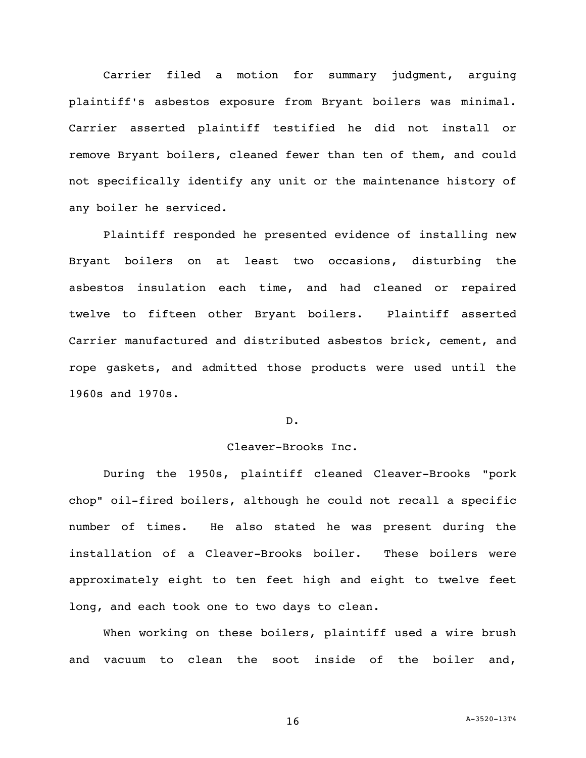Carrier filed a motion for summary judgment, arguing plaintiff's asbestos exposure from Bryant boilers was minimal. Carrier asserted plaintiff testified he did not install or remove Bryant boilers, cleaned fewer than ten of them, and could not specifically identify any unit or the maintenance history of any boiler he serviced.

Plaintiff responded he presented evidence of installing new Bryant boilers on at least two occasions, disturbing the asbestos insulation each time, and had cleaned or repaired twelve to fifteen other Bryant boilers. Plaintiff asserted Carrier manufactured and distributed asbestos brick, cement, and rope gaskets, and admitted those products were used until the 1960s and 1970s.

## D.

## Cleaver-Brooks Inc.

During the 1950s, plaintiff cleaned Cleaver-Brooks "pork chop" oil-fired boilers, although he could not recall a specific number of times. He also stated he was present during the installation of a Cleaver-Brooks boiler. These boilers were approximately eight to ten feet high and eight to twelve feet long, and each took one to two days to clean.

When working on these boilers, plaintiff used a wire brush and vacuum to clean the soot inside of the boiler and,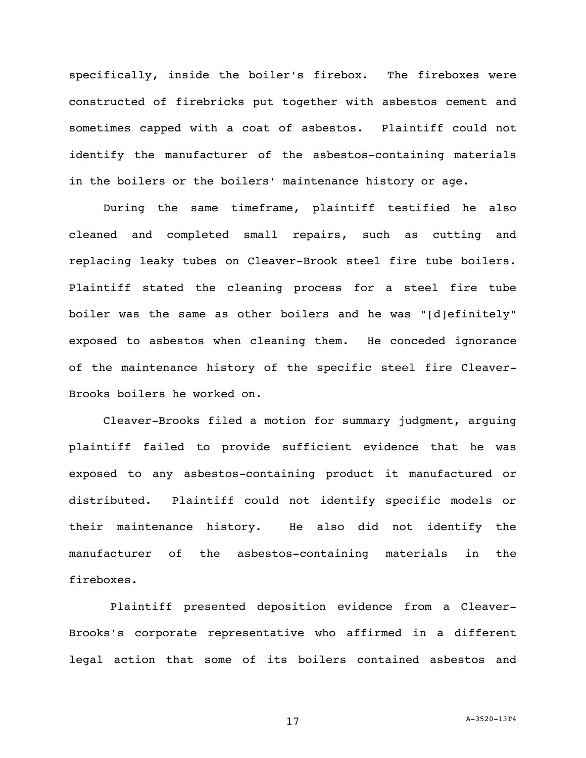specifically, inside the boiler's firebox. The fireboxes were constructed of firebricks put together with asbestos cement and sometimes capped with a coat of asbestos. Plaintiff could not identify the manufacturer of the asbestos-containing materials in the boilers or the boilers' maintenance history or age.

During the same timeframe, plaintiff testified he also cleaned and completed small repairs, such as cutting and replacing leaky tubes on Cleaver-Brook steel fire tube boilers. Plaintiff stated the cleaning process for a steel fire tube boiler was the same as other boilers and he was "[d]efinitely" exposed to asbestos when cleaning them. He conceded ignorance of the maintenance history of the specific steel fire Cleaver-Brooks boilers he worked on.

Cleaver-Brooks filed a motion for summary judgment, arguing plaintiff failed to provide sufficient evidence that he was exposed to any asbestos-containing product it manufactured or distributed. Plaintiff could not identify specific models or their maintenance history. He also did not identify the manufacturer of the asbestos-containing materials in the fireboxes.

Plaintiff presented deposition evidence from a Cleaver-Brooks's corporate representative who affirmed in a different legal action that some of its boilers contained asbestos and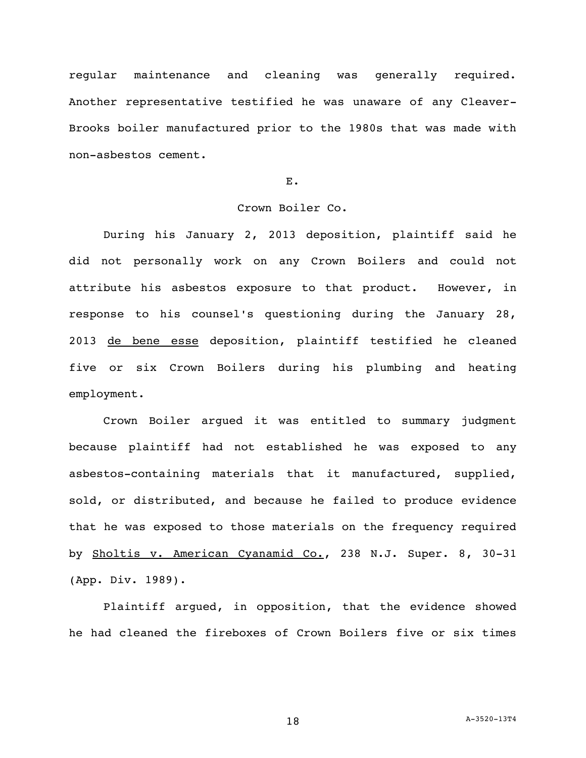regular maintenance and cleaning was generally required. Another representative testified he was unaware of any Cleaver-Brooks boiler manufactured prior to the 1980s that was made with non-asbestos cement.

## E.

# Crown Boiler Co.

During his January 2, 2013 deposition, plaintiff said he did not personally work on any Crown Boilers and could not attribute his asbestos exposure to that product. However, in response to his counsel's questioning during the January 28, 2013 de bene esse deposition, plaintiff testified he cleaned five or six Crown Boilers during his plumbing and heating employment.

Crown Boiler argued it was entitled to summary judgment because plaintiff had not established he was exposed to any asbestos-containing materials that it manufactured, supplied, sold, or distributed, and because he failed to produce evidence that he was exposed to those materials on the frequency required by Sholtis v. American Cyanamid Co., 238 N.J. Super. 8, 30-31 (App. Div. 1989).

Plaintiff argued, in opposition, that the evidence showed he had cleaned the fireboxes of Crown Boilers five or six times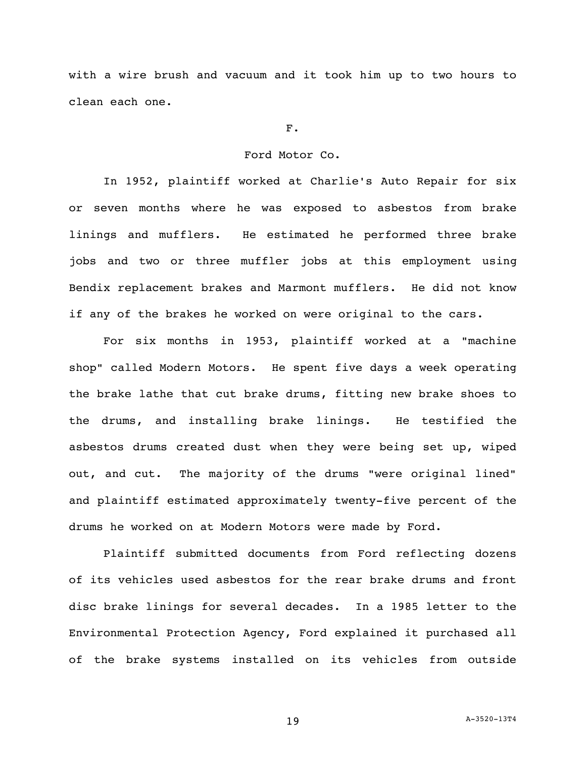with a wire brush and vacuum and it took him up to two hours to clean each one.

### F.

## Ford Motor Co.

In 1952, plaintiff worked at Charlie's Auto Repair for six or seven months where he was exposed to asbestos from brake linings and mufflers. He estimated he performed three brake jobs and two or three muffler jobs at this employment using Bendix replacement brakes and Marmont mufflers. He did not know if any of the brakes he worked on were original to the cars.

For six months in 1953, plaintiff worked at a "machine shop" called Modern Motors. He spent five days a week operating the brake lathe that cut brake drums, fitting new brake shoes to the drums, and installing brake linings. He testified the asbestos drums created dust when they were being set up, wiped out, and cut. The majority of the drums "were original lined" and plaintiff estimated approximately twenty-five percent of the drums he worked on at Modern Motors were made by Ford.

Plaintiff submitted documents from Ford reflecting dozens of its vehicles used asbestos for the rear brake drums and front disc brake linings for several decades. In a 1985 letter to the Environmental Protection Agency, Ford explained it purchased all of the brake systems installed on its vehicles from outside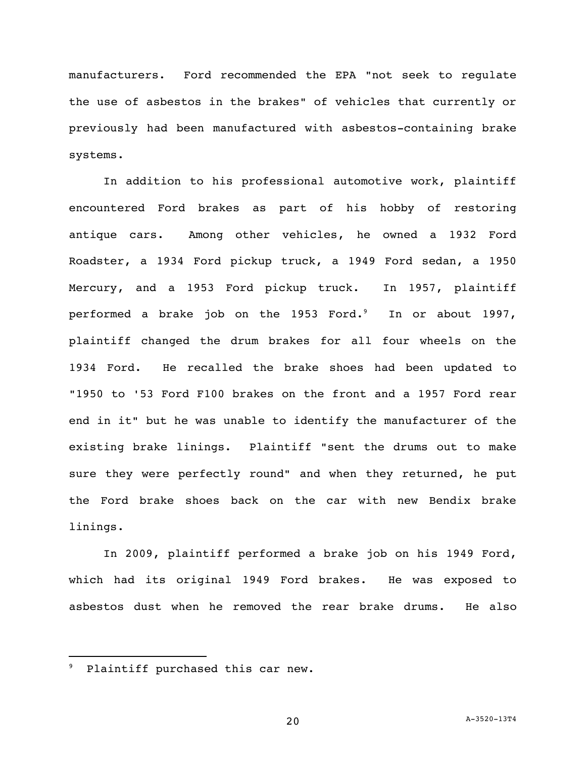manufacturers. Ford recommended the EPA "not seek to regulate the use of asbestos in the brakes" of vehicles that currently or previously had been manufactured with asbestos-containing brake systems.

In addition to his professional automotive work, plaintiff encountered Ford brakes as part of his hobby of restoring antique cars. Among other vehicles, he owned a 1932 Ford Roadster, a 1934 Ford pickup truck, a 1949 Ford sedan, a 1950 Mercury, and a 1953 Ford pickup truck. In 1957, plaintiff performed a brake job on the 1953 Ford. $^{\circ}$  In or about 1997, plaintiff changed the drum brakes for all four wheels on the 1934 Ford. He recalled the brake shoes had been updated to "1950 to '53 Ford F100 brakes on the front and a 1957 Ford rear end in it" but he was unable to identify the manufacturer of the existing brake linings. Plaintiff "sent the drums out to make sure they were perfectly round" and when they returned, he put the Ford brake shoes back on the car with new Bendix brake linings.

In 2009, plaintiff performed a brake job on his 1949 Ford, which had its original 1949 Ford brakes. He was exposed to asbestos dust when he removed the rear brake drums. He also

Plaintiff purchased this car new.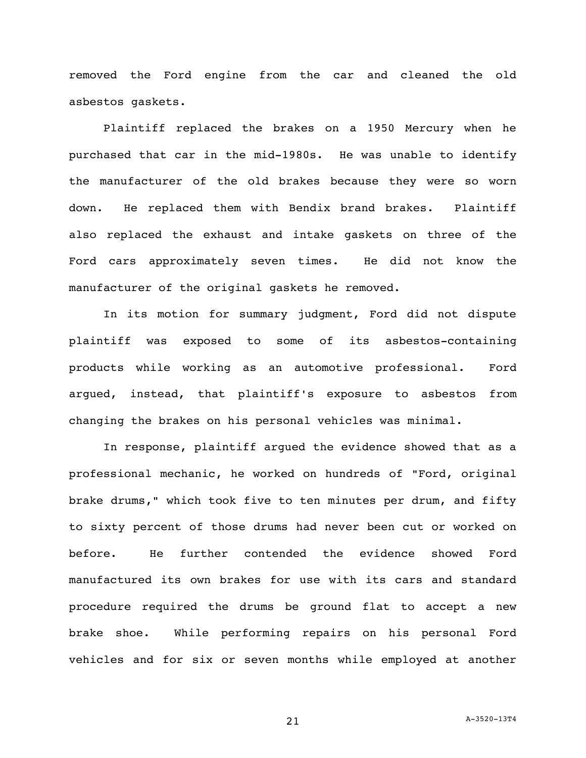removed the Ford engine from the car and cleaned the old asbestos gaskets.

Plaintiff replaced the brakes on a 1950 Mercury when he purchased that car in the mid-1980s. He was unable to identify the manufacturer of the old brakes because they were so worn down. He replaced them with Bendix brand brakes. Plaintiff also replaced the exhaust and intake gaskets on three of the Ford cars approximately seven times. He did not know the manufacturer of the original gaskets he removed.

In its motion for summary judgment, Ford did not dispute plaintiff was exposed to some of its asbestos-containing products while working as an automotive professional. Ford argued, instead, that plaintiff's exposure to asbestos from changing the brakes on his personal vehicles was minimal.

In response, plaintiff argued the evidence showed that as a professional mechanic, he worked on hundreds of "Ford, original brake drums," which took five to ten minutes per drum, and fifty to sixty percent of those drums had never been cut or worked on before. He further contended the evidence showed Ford manufactured its own brakes for use with its cars and standard procedure required the drums be ground flat to accept a new brake shoe. While performing repairs on his personal Ford vehicles and for six or seven months while employed at another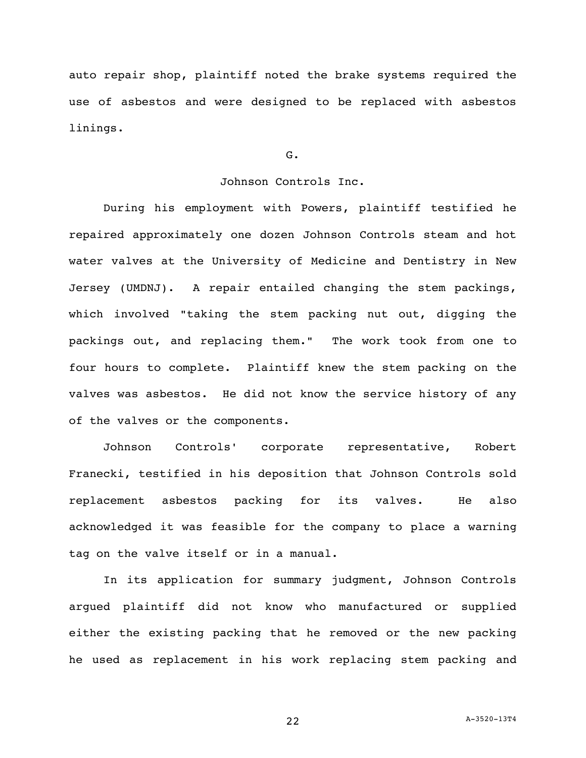auto repair shop, plaintiff noted the brake systems required the use of asbestos and were designed to be replaced with asbestos linings.

G.

## Johnson Controls Inc.

During his employment with Powers, plaintiff testified he repaired approximately one dozen Johnson Controls steam and hot water valves at the University of Medicine and Dentistry in New Jersey (UMDNJ). A repair entailed changing the stem packings, which involved "taking the stem packing nut out, digging the packings out, and replacing them." The work took from one to four hours to complete. Plaintiff knew the stem packing on the valves was asbestos. He did not know the service history of any of the valves or the components.

Johnson Controls' corporate representative, Robert Franecki, testified in his deposition that Johnson Controls sold replacement asbestos packing for its valves. He also acknowledged it was feasible for the company to place a warning tag on the valve itself or in a manual.

In its application for summary judgment, Johnson Controls argued plaintiff did not know who manufactured or supplied either the existing packing that he removed or the new packing he used as replacement in his work replacing stem packing and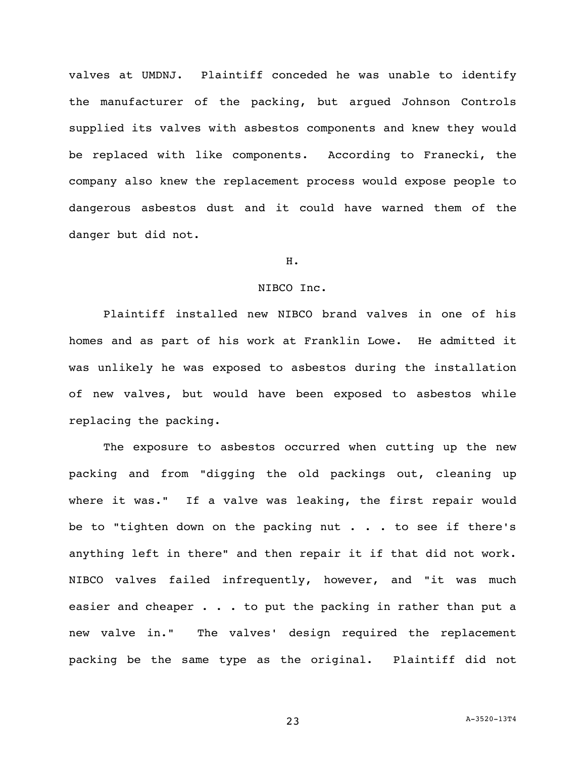valves at UMDNJ. Plaintiff conceded he was unable to identify the manufacturer of the packing, but argued Johnson Controls supplied its valves with asbestos components and knew they would be replaced with like components. According to Franecki, the company also knew the replacement process would expose people to dangerous asbestos dust and it could have warned them of the danger but did not.

## H.

#### NIBCO Inc.

Plaintiff installed new NIBCO brand valves in one of his homes and as part of his work at Franklin Lowe. He admitted it was unlikely he was exposed to asbestos during the installation of new valves, but would have been exposed to asbestos while replacing the packing.

The exposure to asbestos occurred when cutting up the new packing and from "digging the old packings out, cleaning up where it was." If a valve was leaking, the first repair would be to "tighten down on the packing nut  $\cdot \cdot \cdot$  to see if there's anything left in there" and then repair it if that did not work. NIBCO valves failed infrequently, however, and "it was much easier and cheaper  $\ldots$  . to put the packing in rather than put a new valve in." The valves' design required the replacement packing be the same type as the original. Plaintiff did not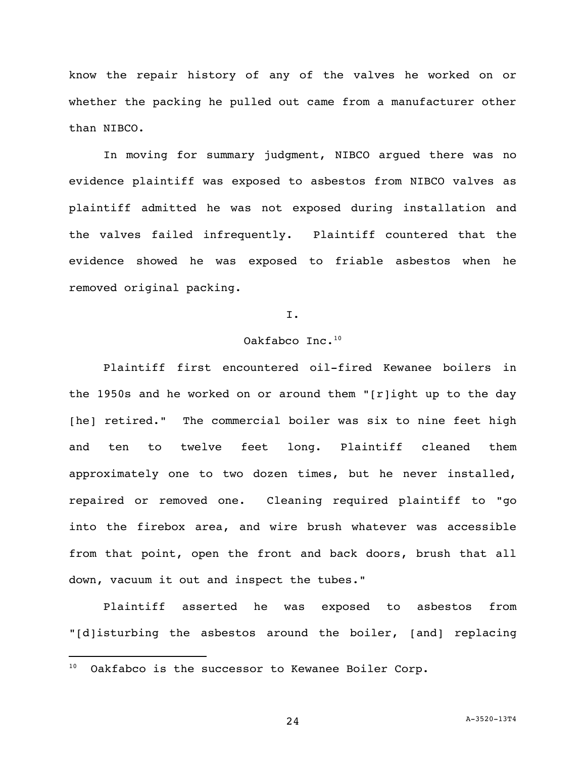know the repair history of any of the valves he worked on or whether the packing he pulled out came from a manufacturer other than NIBCO.

In moving for summary judgment, NIBCO argued there was no evidence plaintiff was exposed to asbestos from NIBCO valves as plaintiff admitted he was not exposed during installation and the valves failed infrequently. Plaintiff countered that the evidence showed he was exposed to friable asbestos when he removed original packing.

### I.

## Oakfabco Inc. $^{10}$

Plaintiff first encountered oil-fired Kewanee boilers in the 1950s and he worked on or around them "[r]ight up to the day [he] retired." The commercial boiler was six to nine feet high and ten to twelve feet long. Plaintiff cleaned them approximately one to two dozen times, but he never installed, repaired or removed one. Cleaning required plaintiff to "go into the firebox area, and wire brush whatever was accessible from that point, open the front and back doors, brush that all down, vacuum it out and inspect the tubes."

Plaintiff asserted he was exposed to asbestos from "[d]isturbing the asbestos around the boiler, [and] replacing

 $10$  Oakfabco is the successor to Kewanee Boiler Corp.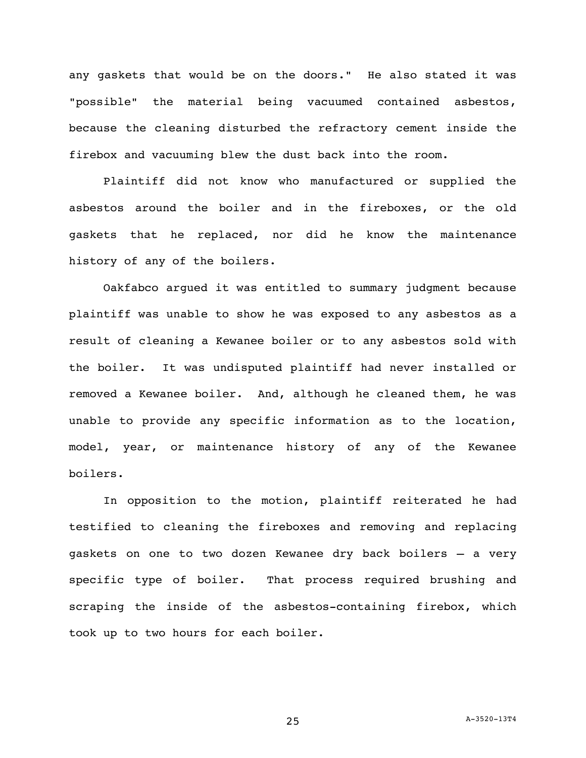any gaskets that would be on the doors." He also stated it was "possible" the material being vacuumed contained asbestos, because the cleaning disturbed the refractory cement inside the firebox and vacuuming blew the dust back into the room.

Plaintiff did not know who manufactured or supplied the asbestos around the boiler and in the fireboxes, or the old gaskets that he replaced, nor did he know the maintenance history of any of the boilers.

Oakfabco argued it was entitled to summary judgment because plaintiff was unable to show he was exposed to any asbestos as a result of cleaning a Kewanee boiler or to any asbestos sold with the boiler. It was undisputed plaintiff had never installed or removed a Kewanee boiler. And, although he cleaned them, he was unable to provide any specific information as to the location, model, year, or maintenance history of any of the Kewanee boilers.

In opposition to the motion, plaintiff reiterated he had testified to cleaning the fireboxes and removing and replacing gaskets on one to two dozen Kewanee dry back boilers – a very specific type of boiler. That process required brushing and scraping the inside of the asbestos-containing firebox, which took up to two hours for each boiler.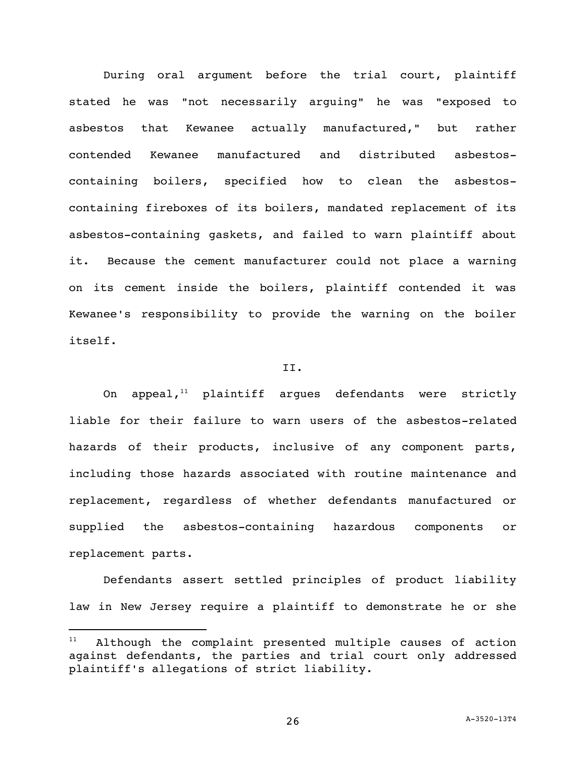During oral argument before the trial court, plaintiff stated he was "not necessarily arguing" he was "exposed to asbestos that Kewanee actually manufactured," but rather contended Kewanee manufactured and distributed asbestoscontaining boilers, specified how to clean the asbestoscontaining fireboxes of its boilers, mandated replacement of its asbestos-containing gaskets, and failed to warn plaintiff about it. Because the cement manufacturer could not place a warning on its cement inside the boilers, plaintiff contended it was Kewanee's responsibility to provide the warning on the boiler itself.

### II.

On appeal, $11$  plaintiff argues defendants were strictly liable for their failure to warn users of the asbestos-related hazards of their products, inclusive of any component parts, including those hazards associated with routine maintenance and replacement, regardless of whether defendants manufactured or supplied the asbestos-containing hazardous components or replacement parts.

Defendants assert settled principles of product liability law in New Jersey require a plaintiff to demonstrate he or she

 $11$  Although the complaint presented multiple causes of action against defendants, the parties and trial court only addressed plaintiff's allegations of strict liability.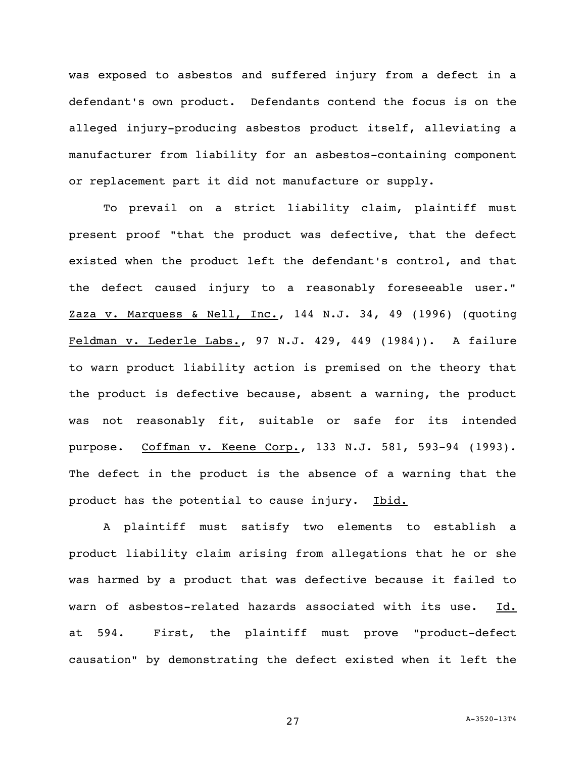was exposed to asbestos and suffered injury from a defect in a defendant's own product. Defendants contend the focus is on the alleged injury-producing asbestos product itself, alleviating a manufacturer from liability for an asbestos-containing component or replacement part it did not manufacture or supply.

To prevail on a strict liability claim, plaintiff must present proof "that the product was defective, that the defect existed when the product left the defendant's control, and that the defect caused injury to a reasonably foreseeable user." Zaza v. Marquess & Nell, Inc., 144 N.J. 34, 49 (1996) (quoting Feldman v. Lederle Labs., 97 N.J. 429, 449 (1984)). A failure to warn product liability action is premised on the theory that the product is defective because, absent a warning, the product was not reasonably fit, suitable or safe for its intended purpose. Coffman v. Keene Corp., 133 N.J. 581, 593-94 (1993). The defect in the product is the absence of a warning that the product has the potential to cause injury. Ibid.

A plaintiff must satisfy two elements to establish a product liability claim arising from allegations that he or she was harmed by a product that was defective because it failed to warn of asbestos-related hazards associated with its use. Id. at 594. First, the plaintiff must prove "product-defect causation" by demonstrating the defect existed when it left the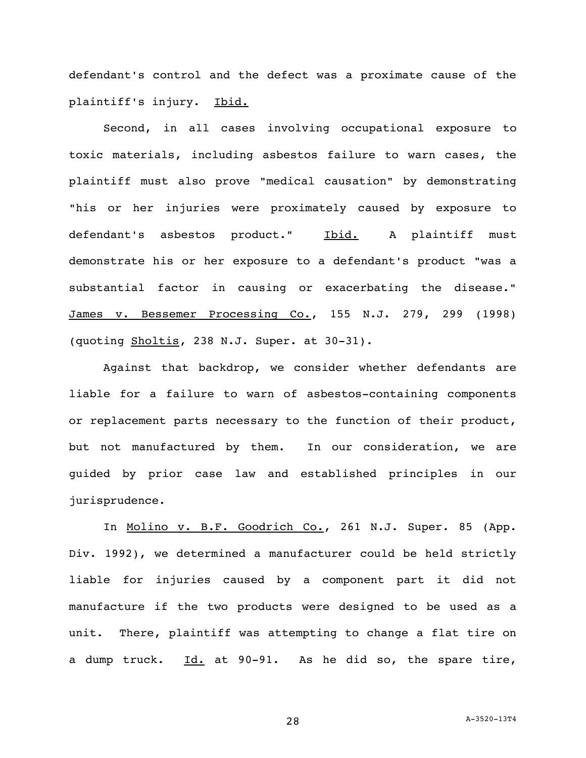defendant's control and the defect was a proximate cause of the plaintiff's injury. Ibid.

Second, in all cases involving occupational exposure to toxic materials, including asbestos failure to warn cases, the plaintiff must also prove "medical causation" by demonstrating "his or her injuries were proximately caused by exposure to defendant's asbestos product." Ibid. A plaintiff must demonstrate his or her exposure to a defendant's product "was a substantial factor in causing or exacerbating the disease." James v. Bessemer Processing Co., 155 N.J. 279, 299 (1998) (quoting Sholtis, 238 N.J. Super. at 30-31).

Against that backdrop, we consider whether defendants are liable for a failure to warn of asbestos-containing components or replacement parts necessary to the function of their product, but not manufactured by them. In our consideration, we are guided by prior case law and established principles in our jurisprudence.

In Molino v. B.F. Goodrich Co., 261 N.J. Super. 85 (App. Div. 1992), we determined a manufacturer could be held strictly liable for injuries caused by a component part it did not manufacture if the two products were designed to be used as a unit. There, plaintiff was attempting to change a flat tire on a dump truck.  $\underline{Id.}$  at 90-91. As he did so, the spare tire,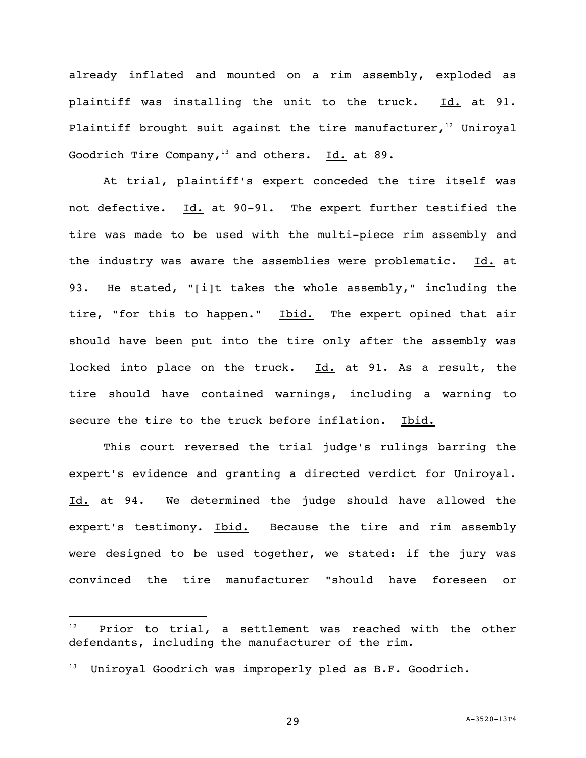already inflated and mounted on a rim assembly, exploded as plaintiff was installing the unit to the truck. Id. at 91. Plaintiff brought suit against the tire manufacturer,  $12$  Uniroyal Goodrich Tire Company,<sup>13</sup> and others. Id. at 89.

At trial, plaintiff's expert conceded the tire itself was not defective. Id. at 90-91. The expert further testified the tire was made to be used with the multi-piece rim assembly and the industry was aware the assemblies were problematic. Id. at 93. He stated, "[i]t takes the whole assembly," including the tire, "for this to happen." Ibid. The expert opined that air should have been put into the tire only after the assembly was locked into place on the truck. Id. at 91. As a result, the tire should have contained warnings, including a warning to secure the tire to the truck before inflation. Ibid.

This court reversed the trial judge's rulings barring the expert's evidence and granting a directed verdict for Uniroyal. Id. at 94. We determined the judge should have allowed the expert's testimony. Ibid. Because the tire and rim assembly were designed to be used together, we stated: if the jury was convinced the tire manufacturer "should have foreseen or

Prior to trial, a settlement was reached with the other defendants, including the manufacturer of the rim.

<sup>&</sup>lt;sup>13</sup> Uniroyal Goodrich was improperly pled as B.F. Goodrich.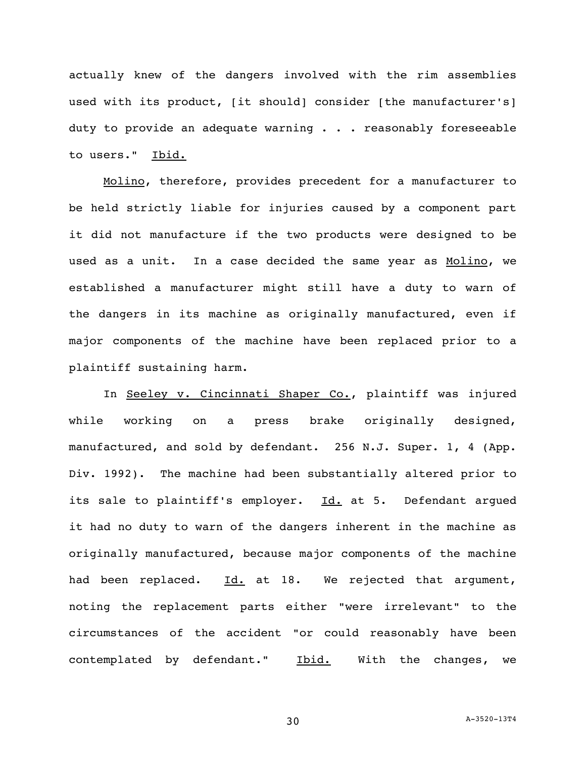actually knew of the dangers involved with the rim assemblies used with its product, [it should] consider [the manufacturer's] duty to provide an adequate warning . . . reasonably foreseeable to users." Ibid.

Molino, therefore, provides precedent for a manufacturer to be held strictly liable for injuries caused by a component part it did not manufacture if the two products were designed to be used as a unit. In a case decided the same year as Molino, we established a manufacturer might still have a duty to warn of the dangers in its machine as originally manufactured, even if major components of the machine have been replaced prior to a plaintiff sustaining harm.

In Seeley v. Cincinnati Shaper Co., plaintiff was injured while working on a press brake originally designed, manufactured, and sold by defendant. 256 N.J. Super. 1, 4 (App. Div. 1992). The machine had been substantially altered prior to its sale to plaintiff's employer. Id. at 5. Defendant argued it had no duty to warn of the dangers inherent in the machine as originally manufactured, because major components of the machine had been replaced. Id. at 18. We rejected that argument, noting the replacement parts either "were irrelevant" to the circumstances of the accident "or could reasonably have been contemplated by defendant." Ibid. With the changes, we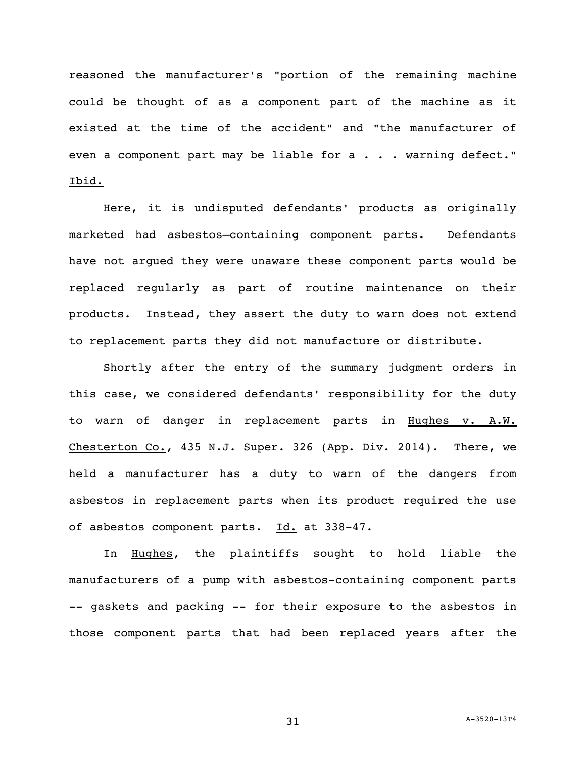reasoned the manufacturer's "portion of the remaining machine could be thought of as a component part of the machine as it existed at the time of the accident" and "the manufacturer of even a component part may be liable for a . . . warning defect." Ibid.

Here, it is undisputed defendants' products as originally marketed had asbestos–containing component parts. Defendants have not argued they were unaware these component parts would be replaced regularly as part of routine maintenance on their products. Instead, they assert the duty to warn does not extend to replacement parts they did not manufacture or distribute.

Shortly after the entry of the summary judgment orders in this case, we considered defendants' responsibility for the duty to warn of danger in replacement parts in Hughes v. A.W. Chesterton Co., 435 N.J. Super. 326 (App. Div. 2014). There, we held a manufacturer has a duty to warn of the dangers from asbestos in replacement parts when its product required the use of asbestos component parts. Id. at 338-47.

In Hughes, the plaintiffs sought to hold liable the manufacturers of a pump with asbestos-containing component parts -- gaskets and packing -- for their exposure to the asbestos in those component parts that had been replaced years after the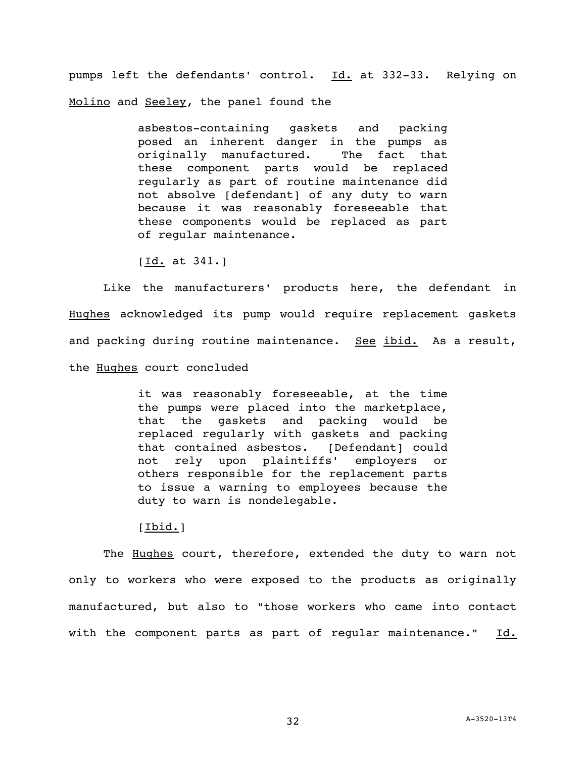pumps left the defendants' control. Id. at 332-33. Relying on Molino and Seeley, the panel found the

> asbestos-containing gaskets and packing posed an inherent danger in the pumps as originally manufactured. The fact that these component parts would be replaced regularly as part of routine maintenance did not absolve [defendant] of any duty to warn because it was reasonably foreseeable that these components would be replaced as part of regular maintenance.

 $[Id. at 341.]$ 

Like the manufacturers' products here, the defendant in Hughes acknowledged its pump would require replacement gaskets and packing during routine maintenance. See ibid. As a result, the Hughes court concluded

> it was reasonably foreseeable, at the time the pumps were placed into the marketplace, that the gaskets and packing would be replaced regularly with gaskets and packing that contained asbestos. [Defendant] could not rely upon plaintiffs' employers or others responsible for the replacement parts to issue a warning to employees because the duty to warn is nondelegable.

## [Ibid.]

The Hughes court, therefore, extended the duty to warn not only to workers who were exposed to the products as originally manufactured, but also to "those workers who came into contact with the component parts as part of regular maintenance." Id.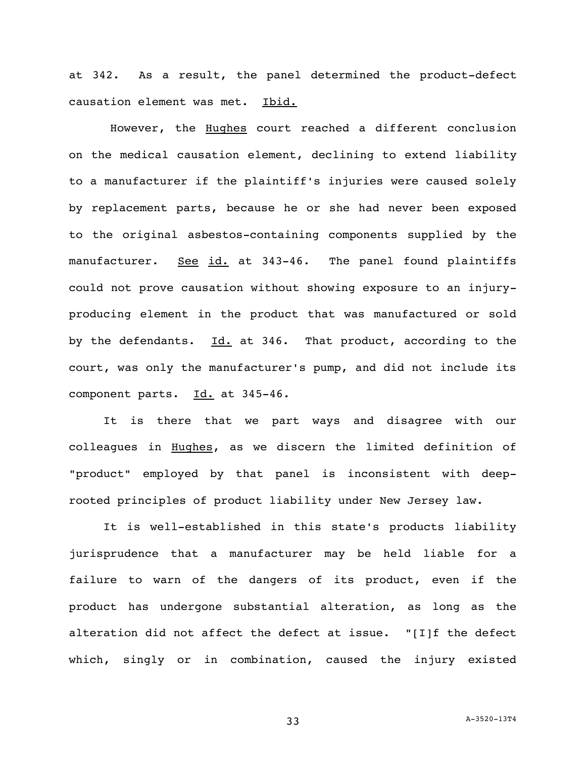at 342. As a result, the panel determined the product-defect causation element was met. Ibid.

However, the Hughes court reached a different conclusion on the medical causation element, declining to extend liability to a manufacturer if the plaintiff's injuries were caused solely by replacement parts, because he or she had never been exposed to the original asbestos-containing components supplied by the manufacturer. See id. at 343-46. The panel found plaintiffs could not prove causation without showing exposure to an injuryproducing element in the product that was manufactured or sold by the defendants.  $Id.$  at 346. That product, according to the court, was only the manufacturer's pump, and did not include its component parts. Id. at 345-46.

It is there that we part ways and disagree with our colleagues in Hughes, as we discern the limited definition of "product" employed by that panel is inconsistent with deeprooted principles of product liability under New Jersey law.

It is well-established in this state's products liability jurisprudence that a manufacturer may be held liable for a failure to warn of the dangers of its product, even if the product has undergone substantial alteration, as long as the alteration did not affect the defect at issue. "[I]f the defect which, singly or in combination, caused the injury existed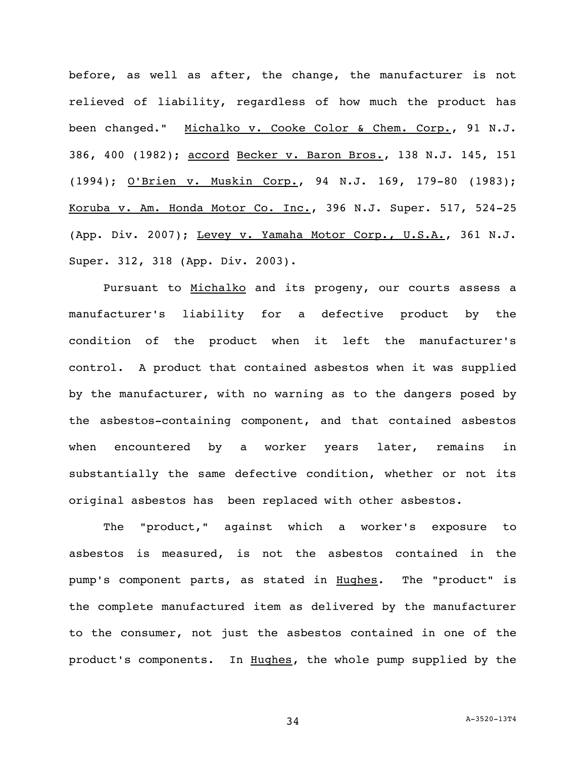before, as well as after, the change, the manufacturer is not relieved of liability, regardless of how much the product has been changed." Michalko v. Cooke Color & Chem. Corp., 91 N.J. 386, 400 (1982); accord Becker v. Baron Bros., 138 N.J. 145, 151 (1994); O'Brien v. Muskin Corp., 94 N.J. 169, 179-80 (1983); Koruba v. Am. Honda Motor Co. Inc., 396 N.J. Super. 517, 524-25 (App. Div. 2007); Levey v. Yamaha Motor Corp., U.S.A., 361 N.J. Super. 312, 318 (App. Div. 2003).

Pursuant to Michalko and its progeny, our courts assess a manufacturer's liability for a defective product by the condition of the product when it left the manufacturer's control. A product that contained asbestos when it was supplied by the manufacturer, with no warning as to the dangers posed by the asbestos-containing component, and that contained asbestos when encountered by a worker years later, remains in substantially the same defective condition, whether or not its original asbestos has been replaced with other asbestos.

The "product," against which a worker's exposure to asbestos is measured, is not the asbestos contained in the pump's component parts, as stated in Hughes. The "product" is the complete manufactured item as delivered by the manufacturer to the consumer, not just the asbestos contained in one of the product's components. In Hughes, the whole pump supplied by the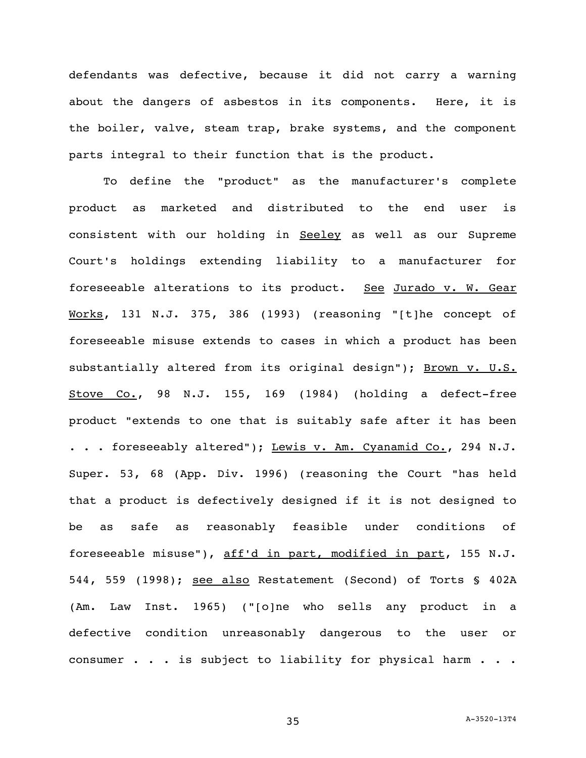defendants was defective, because it did not carry a warning about the dangers of asbestos in its components. Here, it is the boiler, valve, steam trap, brake systems, and the component parts integral to their function that is the product.

To define the "product" as the manufacturer's complete product as marketed and distributed to the end user is consistent with our holding in Seeley as well as our Supreme Court's holdings extending liability to a manufacturer for foreseeable alterations to its product. See Jurado v. W. Gear Works, 131 N.J. 375, 386 (1993) (reasoning "[t]he concept of foreseeable misuse extends to cases in which a product has been substantially altered from its original design"); Brown v. U.S. Stove Co., 98 N.J. 155, 169 (1984) (holding a defect-free product "extends to one that is suitably safe after it has been . . . foreseeably altered"); Lewis v. Am. Cyanamid Co., 294 N.J. Super. 53, 68 (App. Div. 1996) (reasoning the Court "has held that a product is defectively designed if it is not designed to be as safe as reasonably feasible under conditions of foreseeable misuse"), aff'd in part, modified in part, 155 N.J. 544, 559 (1998); see also Restatement (Second) of Torts § 402A (Am. Law Inst. 1965) ("[o]ne who sells any product in a defective condition unreasonably dangerous to the user or consumer . . . is subject to liability for physical harm . . .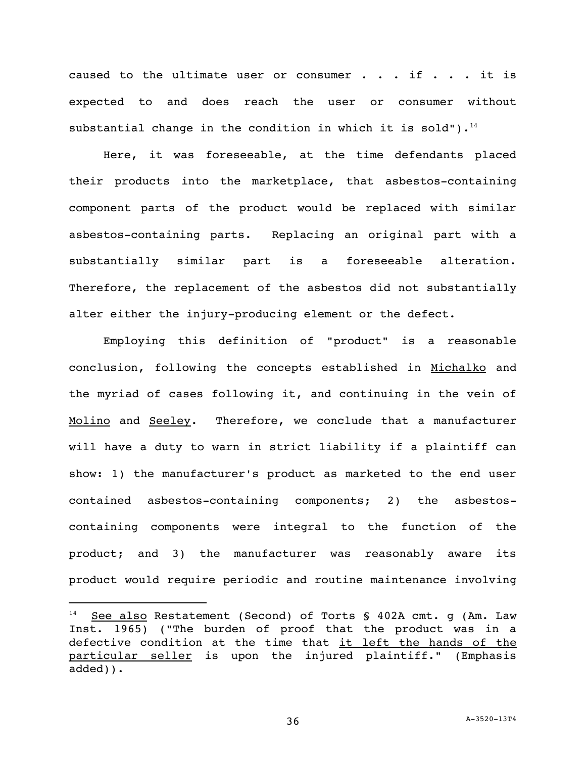caused to the ultimate user or consumer  $\cdot \cdot \cdot$  if  $\cdot \cdot \cdot$  it is expected to and does reach the user or consumer without substantial change in the condition in which it is sold").<sup>14</sup>

Here, it was foreseeable, at the time defendants placed their products into the marketplace, that asbestos-containing component parts of the product would be replaced with similar asbestos-containing parts. Replacing an original part with a substantially similar part is a foreseeable alteration. Therefore, the replacement of the asbestos did not substantially alter either the injury-producing element or the defect.

Employing this definition of "product" is a reasonable conclusion, following the concepts established in Michalko and the myriad of cases following it, and continuing in the vein of Molino and Seeley. Therefore, we conclude that a manufacturer will have a duty to warn in strict liability if a plaintiff can show: 1) the manufacturer's product as marketed to the end user contained asbestos-containing components; 2) the asbestoscontaining components were integral to the function of the product; and 3) the manufacturer was reasonably aware its product would require periodic and routine maintenance involving

 $14$  See also Restatement (Second) of Torts § 402A cmt. g (Am. Law Inst. 1965) ("The burden of proof that the product was in a defective condition at the time that it left the hands of the particular seller is upon the injured plaintiff." (Emphasis added)).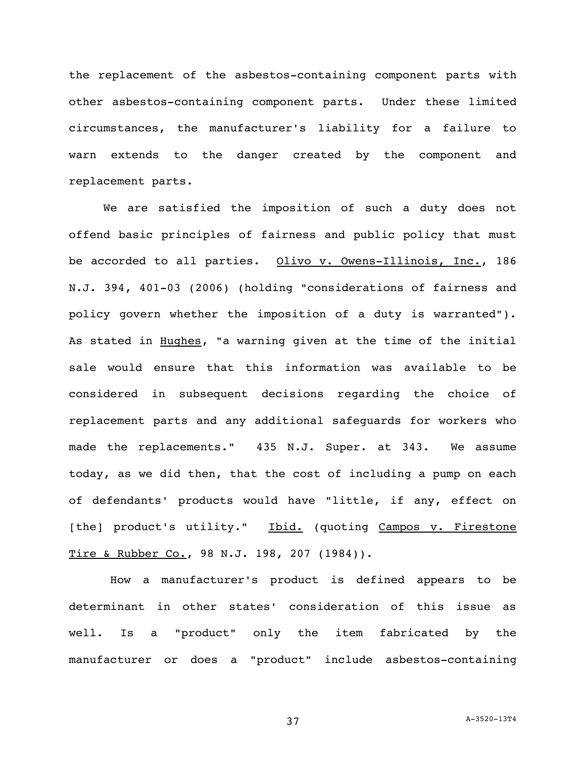the replacement of the asbestos-containing component parts with other asbestos-containing component parts. Under these limited circumstances, the manufacturer's liability for a failure to warn extends to the danger created by the component and replacement parts.

We are satisfied the imposition of such a duty does not offend basic principles of fairness and public policy that must be accorded to all parties. Olivo v. Owens-Illinois, Inc., 186 N.J. 394, 401-03 (2006) (holding "considerations of fairness and policy govern whether the imposition of a duty is warranted"). As stated in Hughes, "a warning given at the time of the initial sale would ensure that this information was available to be considered in subsequent decisions regarding the choice of replacement parts and any additional safeguards for workers who made the replacements." 435 N.J. Super. at 343. We assume today, as we did then, that the cost of including a pump on each of defendants' products would have "little, if any, effect on [the] product's utility." Ibid. (quoting Campos v. Firestone Tire & Rubber Co., 98 N.J. 198, 207 (1984)).

How a manufacturer's product is defined appears to be determinant in other states' consideration of this issue as well. Is a "product" only the item fabricated by the manufacturer or does a "product" include asbestos-containing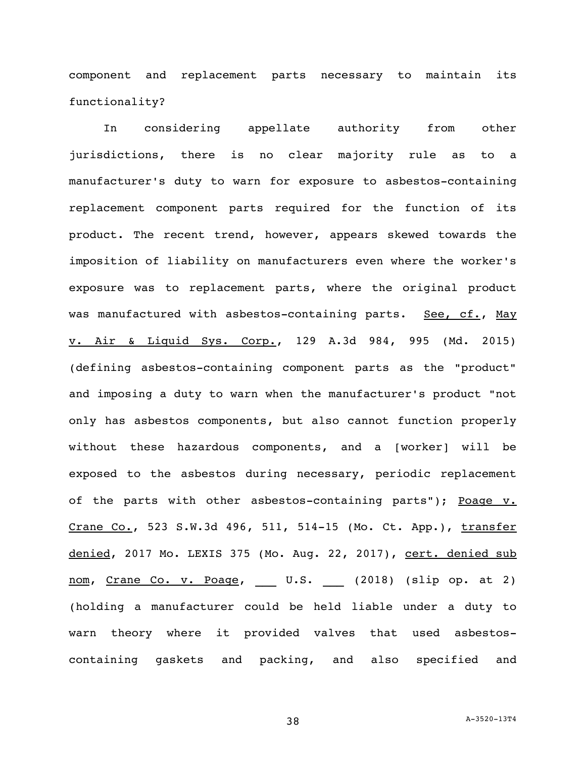component and replacement parts necessary to maintain its functionality?

In considering appellate authority from other jurisdictions, there is no clear majority rule as to a manufacturer's duty to warn for exposure to asbestos-containing replacement component parts required for the function of its product. The recent trend, however, appears skewed towards the imposition of liability on manufacturers even where the worker's exposure was to replacement parts, where the original product was manufactured with asbestos-containing parts. See, cf., May v. Air & Liquid Sys. Corp., 129 A.3d 984, 995 (Md. 2015) (defining asbestos-containing component parts as the "product" and imposing a duty to warn when the manufacturer's product "not only has asbestos components, but also cannot function properly without these hazardous components, and a [worker] will be exposed to the asbestos during necessary, periodic replacement of the parts with other asbestos-containing parts"); Poage v. Crane Co., 523 S.W.3d 496, 511, 514-15 (Mo. Ct. App.), transfer denied, 2017 Mo. LEXIS 375 (Mo. Aug. 22, 2017), cert. denied sub nom, Crane Co. v. Poage, U.S. (2018) (slip op. at 2) (holding a manufacturer could be held liable under a duty to warn theory where it provided valves that used asbestoscontaining gaskets and packing, and also specified and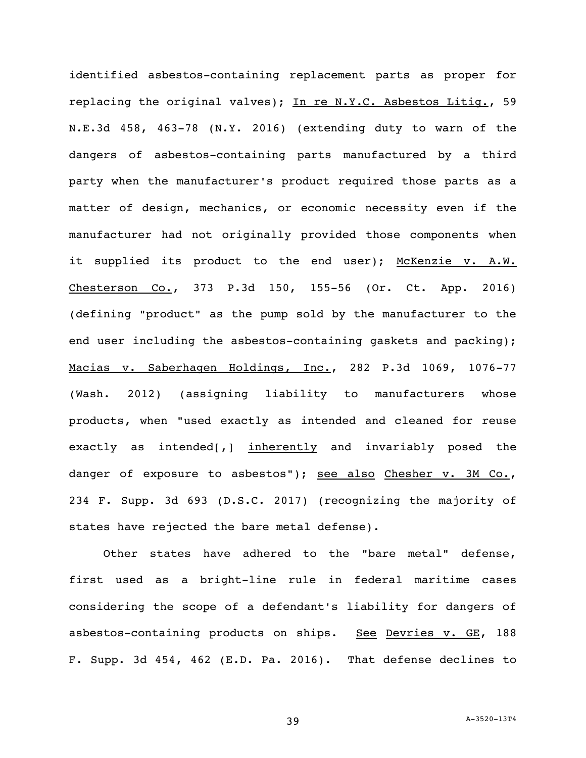identified asbestos-containing replacement parts as proper for replacing the original valves); In re N.Y.C. Asbestos Litiq., 59 N.E.3d 458, 463-78 (N.Y. 2016) (extending duty to warn of the dangers of asbestos-containing parts manufactured by a third party when the manufacturer's product required those parts as a matter of design, mechanics, or economic necessity even if the manufacturer had not originally provided those components when it supplied its product to the end user); McKenzie v. A.W. Chesterson Co., 373 P.3d 150, 155-56 (Or. Ct. App. 2016) (defining "product" as the pump sold by the manufacturer to the end user including the asbestos-containing gaskets and packing); Macias v. Saberhagen Holdings, Inc., 282 P.3d 1069, 1076-77 (Wash. 2012) (assigning liability to manufacturers whose products, when "used exactly as intended and cleaned for reuse exactly as intended[,] inherently and invariably posed the danger of exposure to asbestos"); see also Chesher v. 3M Co., 234 F. Supp. 3d 693 (D.S.C. 2017) (recognizing the majority of states have rejected the bare metal defense).

Other states have adhered to the "bare metal" defense, first used as a bright-line rule in federal maritime cases considering the scope of a defendant's liability for dangers of asbestos-containing products on ships. See Devries v. GE, 188 F. Supp. 3d 454, 462 (E.D. Pa. 2016). That defense declines to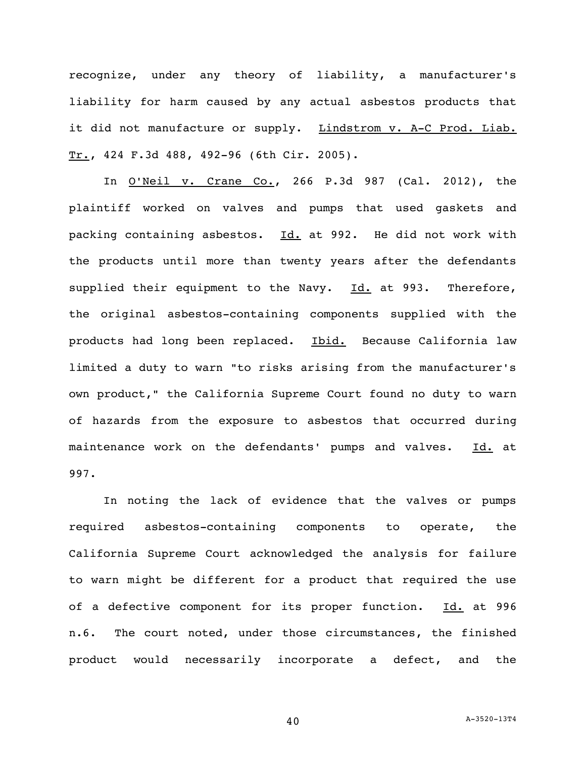recognize, under any theory of liability, a manufacturer's liability for harm caused by any actual asbestos products that it did not manufacture or supply. Lindstrom v. A-C Prod. Liab. Tr., 424 F.3d 488, 492-96 (6th Cir. 2005).

In <u>O'Neil v. Crane Co.</u>, 266 P.3d 987 (Cal. 2012), the plaintiff worked on valves and pumps that used gaskets and packing containing asbestos. Id. at 992. He did not work with the products until more than twenty years after the defendants supplied their equipment to the Navy.  $Id.$  at 993. Therefore, the original asbestos-containing components supplied with the products had long been replaced. Ibid. Because California law limited a duty to warn "to risks arising from the manufacturer's own product," the California Supreme Court found no duty to warn of hazards from the exposure to asbestos that occurred during maintenance work on the defendants' pumps and valves. Id. at 997.

In noting the lack of evidence that the valves or pumps required asbestos-containing components to operate, the California Supreme Court acknowledged the analysis for failure to warn might be different for a product that required the use of a defective component for its proper function. Id. at 996 n.6. The court noted, under those circumstances, the finished product would necessarily incorporate a defect, and the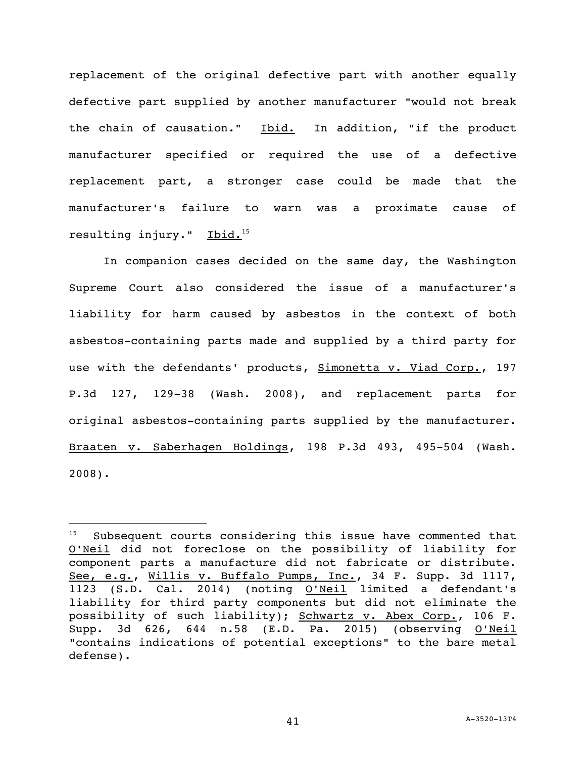replacement of the original defective part with another equally defective part supplied by another manufacturer "would not break the chain of causation." Ibid. In addition, "if the product manufacturer specified or required the use of a defective replacement part, a stronger case could be made that the manufacturer's failure to warn was a proximate cause of resulting injury." Ibid.<sup>15</sup>

In companion cases decided on the same day, the Washington Supreme Court also considered the issue of a manufacturer's liability for harm caused by asbestos in the context of both asbestos-containing parts made and supplied by a third party for use with the defendants' products, Simonetta v. Viad Corp., 197 P.3d 127, 129-38 (Wash. 2008), and replacement parts for original asbestos-containing parts supplied by the manufacturer. Braaten v. Saberhagen Holdings, 198 P.3d 493, 495-504 (Wash. 2008).

 $15$  Subsequent courts considering this issue have commented that O'Neil did not foreclose on the possibility of liability for component parts a manufacture did not fabricate or distribute. See, e.g., Willis v. Buffalo Pumps, Inc., 34 F. Supp. 3d 1117, 1123 (S.D. Cal. 2014) (noting O'Neil limited a defendant's liability for third party components but did not eliminate the possibility of such liability); Schwartz v. Abex Corp., 106 F. Supp. 3d 626, 644 n.58 (E.D. Pa. 2015) (observing O'Neil "contains indications of potential exceptions" to the bare metal defense).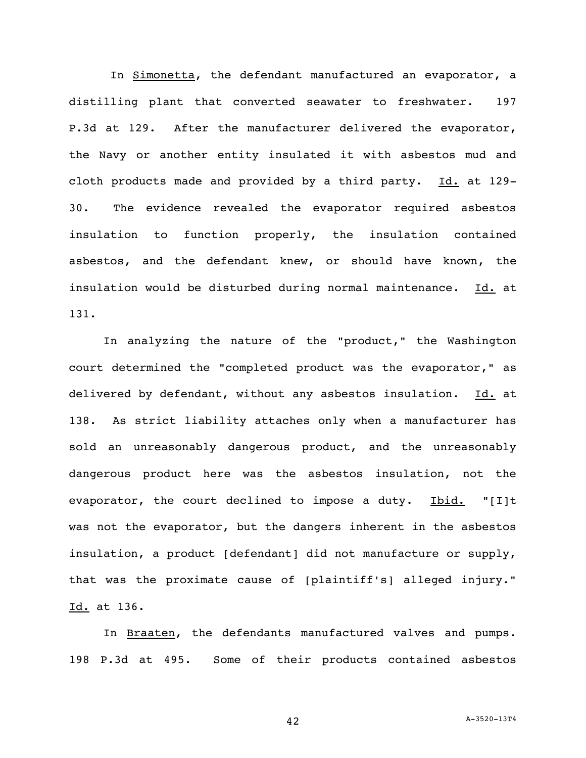In Simonetta, the defendant manufactured an evaporator, a distilling plant that converted seawater to freshwater. 197 P.3d at 129. After the manufacturer delivered the evaporator, the Navy or another entity insulated it with asbestos mud and cloth products made and provided by a third party. Id. at 129-30. The evidence revealed the evaporator required asbestos insulation to function properly, the insulation contained asbestos, and the defendant knew, or should have known, the insulation would be disturbed during normal maintenance. Id. at 131.

In analyzing the nature of the "product," the Washington court determined the "completed product was the evaporator," as delivered by defendant, without any asbestos insulation. Id. at 138. As strict liability attaches only when a manufacturer has sold an unreasonably dangerous product, and the unreasonably dangerous product here was the asbestos insulation, not the evaporator, the court declined to impose a duty. Ibid. "[I]t was not the evaporator, but the dangers inherent in the asbestos insulation, a product [defendant] did not manufacture or supply, that was the proximate cause of [plaintiff's] alleged injury." Id. at 136.

In Braaten, the defendants manufactured valves and pumps. 198 P.3d at 495. Some of their products contained asbestos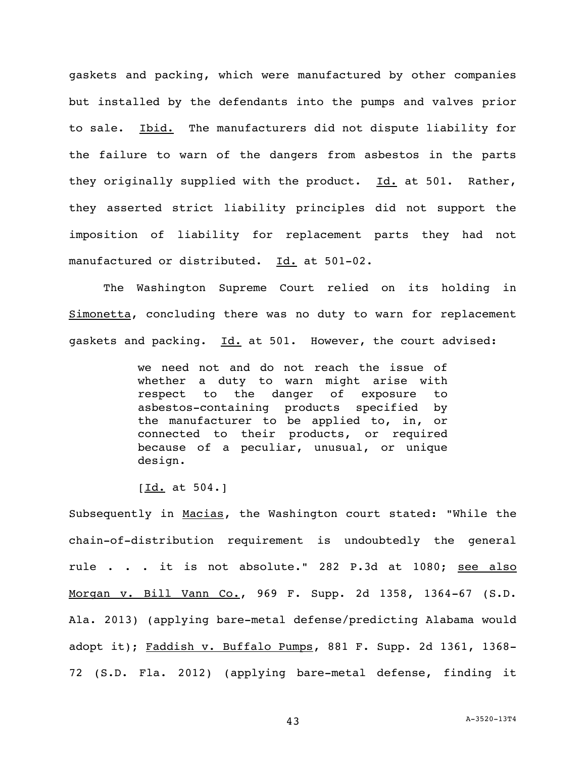gaskets and packing, which were manufactured by other companies but installed by the defendants into the pumps and valves prior to sale. Ibid. The manufacturers did not dispute liability for the failure to warn of the dangers from asbestos in the parts they originally supplied with the product. Id. at 501. Rather, they asserted strict liability principles did not support the imposition of liability for replacement parts they had not manufactured or distributed. Id. at 501-02.

The Washington Supreme Court relied on its holding in Simonetta, concluding there was no duty to warn for replacement gaskets and packing. Id. at 501. However, the court advised:

> we need not and do not reach the issue of whether a duty to warn might arise with respect to the danger of exposure to asbestos-containing products specified by the manufacturer to be applied to, in, or connected to their products, or required because of a peculiar, unusual, or unique design.

 $[\underline{Id.}$  at 504.]

Subsequently in Macias, the Washington court stated: "While the chain-of-distribution requirement is undoubtedly the general rule . . . it is not absolute." 282 P.3d at 1080; see also Morgan v. Bill Vann Co., 969 F. Supp. 2d 1358, 1364-67 (S.D. Ala. 2013) (applying bare-metal defense/predicting Alabama would adopt it); Faddish v. Buffalo Pumps, 881 F. Supp. 2d 1361, 1368-72 (S.D. Fla. 2012) (applying bare-metal defense, finding it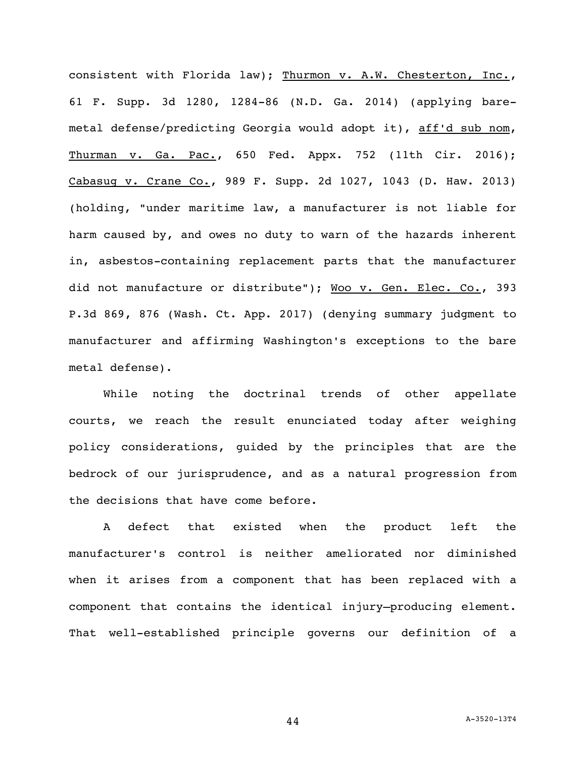consistent with Florida law); Thurmon v. A.W. Chesterton, Inc., 61 F. Supp. 3d 1280, 1284-86 (N.D. Ga. 2014) (applying baremetal defense/predicting Georgia would adopt it), aff'd sub nom, Thurman v. Ga. Pac., 650 Fed. Appx. 752 (11th Cir. 2016); Cabasug v. Crane Co., 989 F. Supp. 2d 1027, 1043 (D. Haw. 2013) (holding, "under maritime law, a manufacturer is not liable for harm caused by, and owes no duty to warn of the hazards inherent in, asbestos-containing replacement parts that the manufacturer did not manufacture or distribute"); Woo v. Gen. Elec. Co., 393 P.3d 869, 876 (Wash. Ct. App. 2017) (denying summary judgment to manufacturer and affirming Washington's exceptions to the bare metal defense).

While noting the doctrinal trends of other appellate courts, we reach the result enunciated today after weighing policy considerations, guided by the principles that are the bedrock of our jurisprudence, and as a natural progression from the decisions that have come before.

A defect that existed when the product left the manufacturer's control is neither ameliorated nor diminished when it arises from a component that has been replaced with a component that contains the identical injury–producing element. That well-established principle governs our definition of a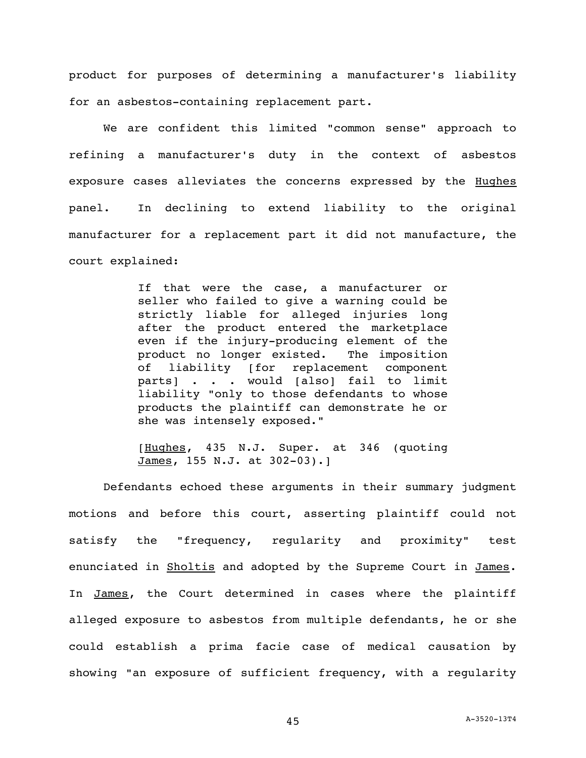product for purposes of determining a manufacturer's liability for an asbestos-containing replacement part.

We are confident this limited "common sense" approach to refining a manufacturer's duty in the context of asbestos exposure cases alleviates the concerns expressed by the **Hughes** panel. In declining to extend liability to the original manufacturer for a replacement part it did not manufacture, the court explained:

> If that were the case, a manufacturer or seller who failed to give a warning could be strictly liable for alleged injuries long after the product entered the marketplace even if the injury-producing element of the product no longer existed. The imposition of liability [for replacement component parts] . . . would [also] fail to limit liability "only to those defendants to whose products the plaintiff can demonstrate he or she was intensely exposed."

> [Hughes, 435 N.J. Super. at 346 (quoting James, 155 N.J. at 302-03).]

Defendants echoed these arguments in their summary judgment motions and before this court, asserting plaintiff could not satisfy the "frequency, regularity and proximity" test enunciated in Sholtis and adopted by the Supreme Court in James. In James, the Court determined in cases where the plaintiff alleged exposure to asbestos from multiple defendants, he or she could establish a prima facie case of medical causation by showing "an exposure of sufficient frequency, with a regularity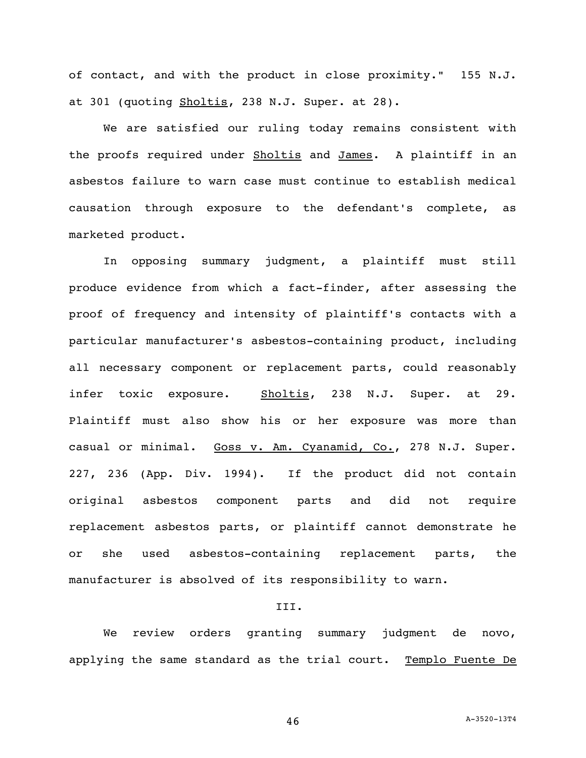of contact, and with the product in close proximity." 155 N.J. at 301 (quoting Sholtis, 238 N.J. Super. at 28).

We are satisfied our ruling today remains consistent with the proofs required under Sholtis and James. A plaintiff in an asbestos failure to warn case must continue to establish medical causation through exposure to the defendant's complete, as marketed product.

In opposing summary judgment, a plaintiff must still produce evidence from which a fact-finder, after assessing the proof of frequency and intensity of plaintiff's contacts with a particular manufacturer's asbestos-containing product, including all necessary component or replacement parts, could reasonably infer toxic exposure. Sholtis, 238 N.J. Super. at 29. Plaintiff must also show his or her exposure was more than casual or minimal. Goss v. Am. Cyanamid, Co., 278 N.J. Super. 227, 236 (App. Div. 1994). If the product did not contain original asbestos component parts and did not require replacement asbestos parts, or plaintiff cannot demonstrate he or she used asbestos-containing replacement parts, the manufacturer is absolved of its responsibility to warn.

### III.

We review orders granting summary judgment de novo, applying the same standard as the trial court. Templo Fuente De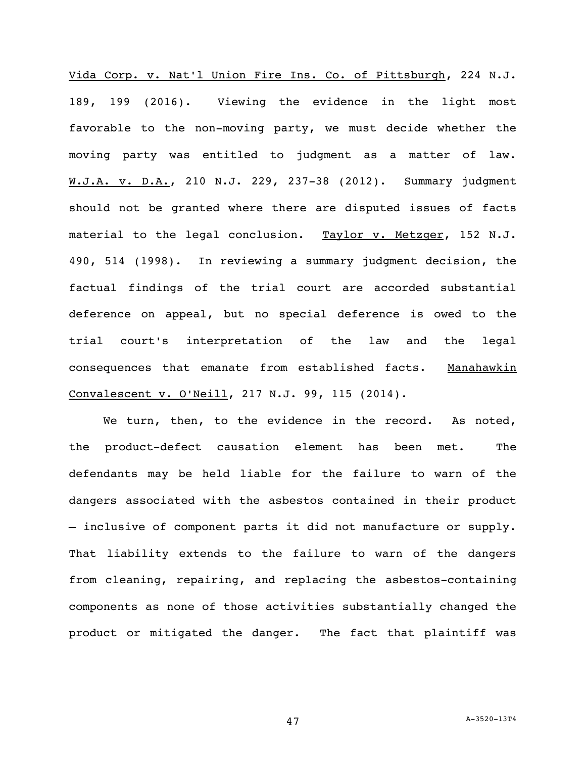Vida Corp. v. Nat'l Union Fire Ins. Co. of Pittsburgh, 224 N.J. 189, 199 (2016). Viewing the evidence in the light most favorable to the non-moving party, we must decide whether the moving party was entitled to judgment as a matter of law. W.J.A. v. D.A., 210 N.J. 229, 237-38 (2012). Summary judgment should not be granted where there are disputed issues of facts material to the legal conclusion. Taylor v. Metzger, 152 N.J. 490, 514 (1998). In reviewing a summary judgment decision, the factual findings of the trial court are accorded substantial deference on appeal, but no special deference is owed to the trial court's interpretation of the law and the legal consequences that emanate from established facts. Manahawkin Convalescent v. O'Neill, 217 N.J. 99, 115 (2014).

We turn, then, to the evidence in the record. As noted, the product-defect causation element has been met. The defendants may be held liable for the failure to warn of the dangers associated with the asbestos contained in their product – inclusive of component parts it did not manufacture or supply. That liability extends to the failure to warn of the dangers from cleaning, repairing, and replacing the asbestos-containing components as none of those activities substantially changed the product or mitigated the danger. The fact that plaintiff was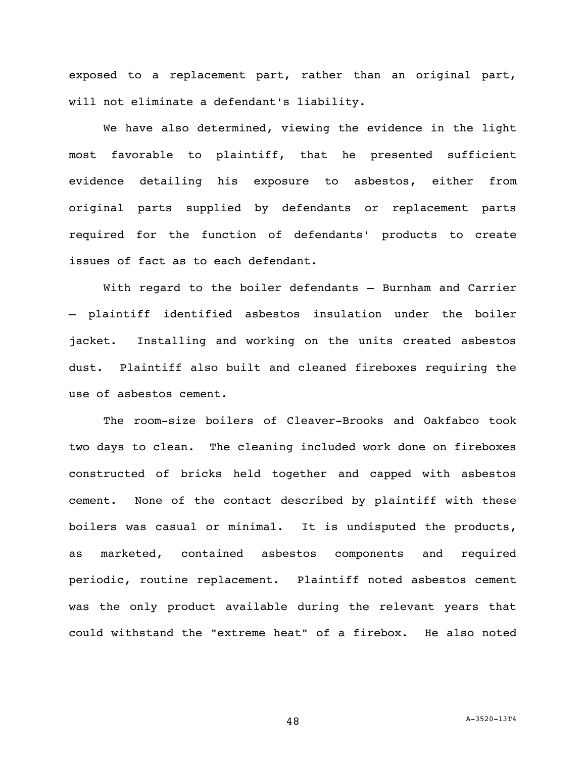exposed to a replacement part, rather than an original part, will not eliminate a defendant's liability.

We have also determined, viewing the evidence in the light most favorable to plaintiff, that he presented sufficient evidence detailing his exposure to asbestos, either from original parts supplied by defendants or replacement parts required for the function of defendants' products to create issues of fact as to each defendant.

With regard to the boiler defendants — Burnham and Carrier — plaintiff identified asbestos insulation under the boiler jacket. Installing and working on the units created asbestos dust. Plaintiff also built and cleaned fireboxes requiring the use of asbestos cement.

The room-size boilers of Cleaver-Brooks and Oakfabco took two days to clean. The cleaning included work done on fireboxes constructed of bricks held together and capped with asbestos cement. None of the contact described by plaintiff with these boilers was casual or minimal. It is undisputed the products, as marketed, contained asbestos components and required periodic, routine replacement. Plaintiff noted asbestos cement was the only product available during the relevant years that could withstand the "extreme heat" of a firebox. He also noted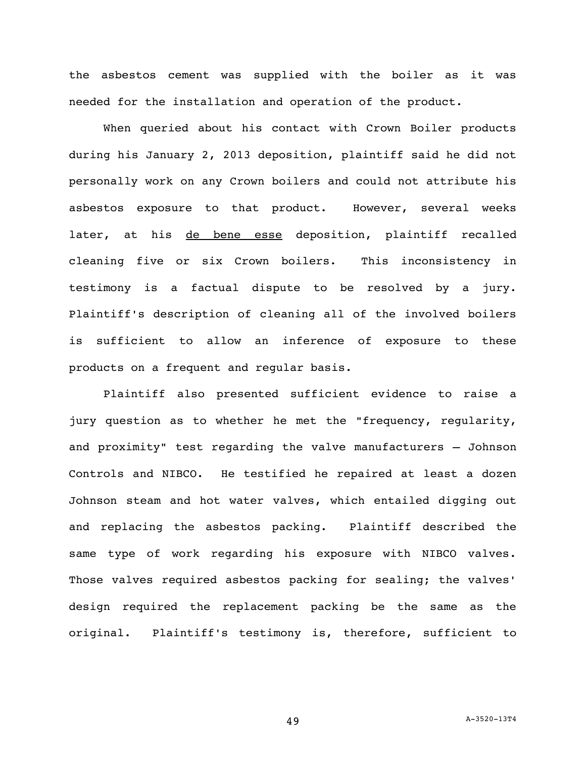the asbestos cement was supplied with the boiler as it was needed for the installation and operation of the product.

When queried about his contact with Crown Boiler products during his January 2, 2013 deposition, plaintiff said he did not personally work on any Crown boilers and could not attribute his asbestos exposure to that product. However, several weeks later, at his de bene esse deposition, plaintiff recalled cleaning five or six Crown boilers. This inconsistency in testimony is a factual dispute to be resolved by a jury. Plaintiff's description of cleaning all of the involved boilers is sufficient to allow an inference of exposure to these products on a frequent and regular basis.

Plaintiff also presented sufficient evidence to raise a jury question as to whether he met the "frequency, regularity, and proximity" test regarding the valve manufacturers – Johnson Controls and NIBCO. He testified he repaired at least a dozen Johnson steam and hot water valves, which entailed digging out and replacing the asbestos packing. Plaintiff described the same type of work regarding his exposure with NIBCO valves. Those valves required asbestos packing for sealing; the valves' design required the replacement packing be the same as the original. Plaintiff's testimony is, therefore, sufficient to